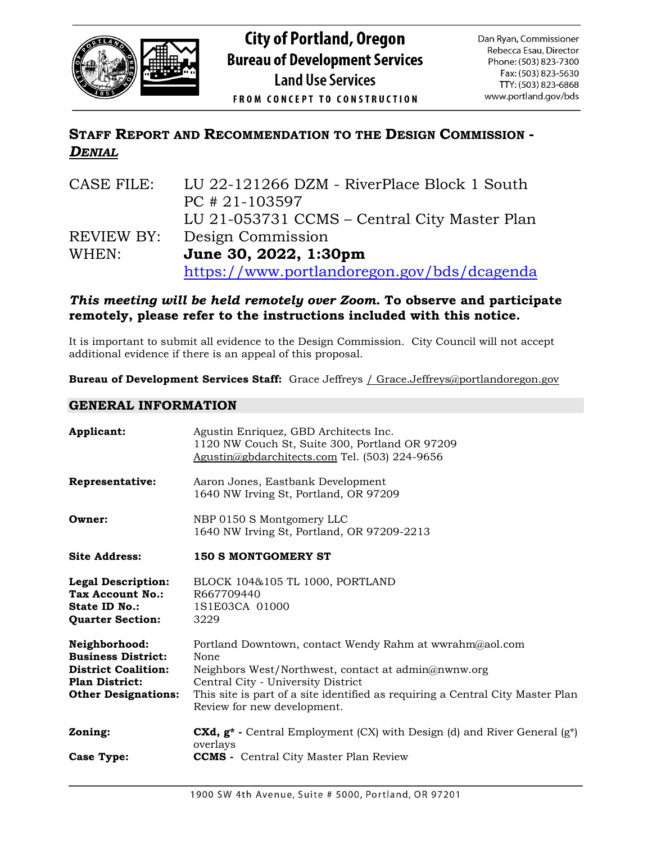

# **STAFF REPORT AND RECOMMENDATION TO THE DESIGN COMMISSION -** *DENIAL*

| CASE FILE: | LU 22-121266 DZM - RiverPlace Block 1 South  |
|------------|----------------------------------------------|
|            | $PC$ # 21-103597                             |
|            | LU 21-053731 CCMS – Central City Master Plan |
| REVIEW BY: | Design Commission                            |
| WHEN:      | June 30, 2022, 1:30pm                        |
|            | https://www.portlandoregon.gov/bds/dcagenda  |

## *This meeting will be held remotely over Zoom.* **To observe and participate remotely, please refer to the instructions included with this notice.**

It is important to submit all evidence to the Design Commission. City Council will not accept additional evidence if there is an appeal of this proposal.

**Bureau of Development Services Staff:** Grace Jeffreys / Grace.Jeffreys@portlandoregon.gov

## **GENERAL INFORMATION**

| Applicant:                                                                                                                      | Agustin Enriquez, GBD Architects Inc.<br>1120 NW Couch St, Suite 300, Portland OR 97209<br>Agustin@gbdarchitects.com Tel. (503) 224-9656                                                                                                                                      |
|---------------------------------------------------------------------------------------------------------------------------------|-------------------------------------------------------------------------------------------------------------------------------------------------------------------------------------------------------------------------------------------------------------------------------|
| Representative:                                                                                                                 | Aaron Jones, Eastbank Development<br>1640 NW Irving St, Portland, OR 97209                                                                                                                                                                                                    |
| Owner:                                                                                                                          | NBP 0150 S Montgomery LLC<br>1640 NW Irving St, Portland, OR 97209-2213                                                                                                                                                                                                       |
| <b>Site Address:</b>                                                                                                            | <b>150 S MONTGOMERY ST</b>                                                                                                                                                                                                                                                    |
| <b>Legal Description:</b><br>Tax Account No.:<br><b>State ID No.:</b><br><b>Quarter Section:</b>                                | BLOCK 104&105 TL 1000, PORTLAND<br>R667709440<br>1S1E03CA 01000<br>3229                                                                                                                                                                                                       |
| Neighborhood:<br><b>Business District:</b><br><b>District Coalition:</b><br><b>Plan District:</b><br><b>Other Designations:</b> | Portland Downtown, contact Wendy Rahm at wwrahm@aol.com<br>None<br>Neighbors West/Northwest, contact at admin@nwnw.org<br>Central City - University District<br>This site is part of a site identified as requiring a Central City Master Plan<br>Review for new development. |
| Zoning:                                                                                                                         | <b>CXd, <math>g^*</math></b> - Central Employment (CX) with Design (d) and River General $(g^*)$<br>overlays                                                                                                                                                                  |
| Case Type:                                                                                                                      | <b>CCMS</b> - Central City Master Plan Review                                                                                                                                                                                                                                 |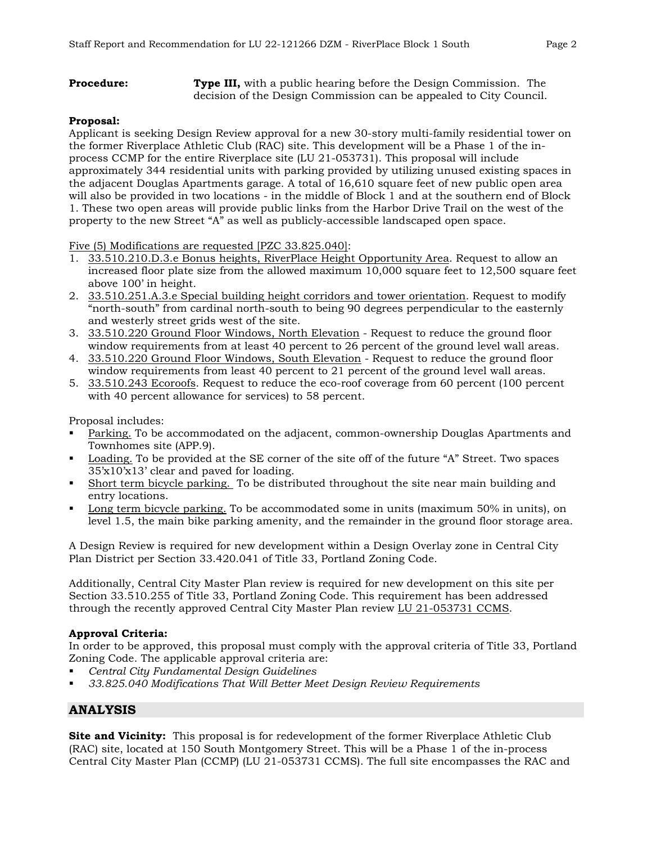**Procedure: Type III,** with a public hearing before the Design Commission. The decision of the Design Commission can be appealed to City Council.

## **Proposal:**

Applicant is seeking Design Review approval for a new 30-story multi-family residential tower on the former Riverplace Athletic Club (RAC) site. This development will be a Phase 1 of the inprocess CCMP for the entire Riverplace site (LU 21-053731). This proposal will include approximately 344 residential units with parking provided by utilizing unused existing spaces in the adjacent Douglas Apartments garage. A total of 16,610 square feet of new public open area will also be provided in two locations - in the middle of Block 1 and at the southern end of Block 1. These two open areas will provide public links from the Harbor Drive Trail on the west of the property to the new Street "A" as well as publicly-accessible landscaped open space.

Five (5) Modifications are requested [PZC 33.825.040]:

- 1. 33.510.210.D.3.e Bonus heights, RiverPlace Height Opportunity Area. Request to allow an increased floor plate size from the allowed maximum 10,000 square feet to 12,500 square feet above 100' in height.
- 2. 33.510.251.A.3.e Special building height corridors and tower orientation. Request to modify "north-south" from cardinal north-south to being 90 degrees perpendicular to the easternly and westerly street grids west of the site.
- 3. 33.510.220 Ground Floor Windows, North Elevation Request to reduce the ground floor window requirements from at least 40 percent to 26 percent of the ground level wall areas.
- 4. 33.510.220 Ground Floor Windows, South Elevation Request to reduce the ground floor window requirements from least 40 percent to 21 percent of the ground level wall areas.
- 5. 33.510.243 Ecoroofs. Request to reduce the eco-roof coverage from 60 percent (100 percent with 40 percent allowance for services) to 58 percent.

Proposal includes:

- Parking. To be accommodated on the adjacent, common-ownership Douglas Apartments and Townhomes site (APP.9).
- Loading. To be provided at the SE corner of the site off of the future "A" Street. Two spaces 35'x10'x13' clear and paved for loading.
- Short term bicycle parking. To be distributed throughout the site near main building and entry locations.
- Long term bicycle parking. To be accommodated some in units (maximum 50% in units), on level 1.5, the main bike parking amenity, and the remainder in the ground floor storage area.

A Design Review is required for new development within a Design Overlay zone in Central City Plan District per Section 33.420.041 of Title 33, Portland Zoning Code.

Additionally, Central City Master Plan review is required for new development on this site per Section 33.510.255 of Title 33, Portland Zoning Code. This requirement has been addressed through the recently approved Central City Master Plan review LU 21-053731 CCMS.

## **Approval Criteria:**

In order to be approved, this proposal must comply with the approval criteria of Title 33, Portland Zoning Code. The applicable approval criteria are:

- *Central City Fundamental Design Guidelines*
- *33.825.040 Modifications That Will Better Meet Design Review Requirements*

## **ANALYSIS**

**Site and Vicinity:** This proposal is for redevelopment of the former Riverplace Athletic Club (RAC) site, located at 150 South Montgomery Street. This will be a Phase 1 of the in-process Central City Master Plan (CCMP) (LU 21-053731 CCMS). The full site encompasses the RAC and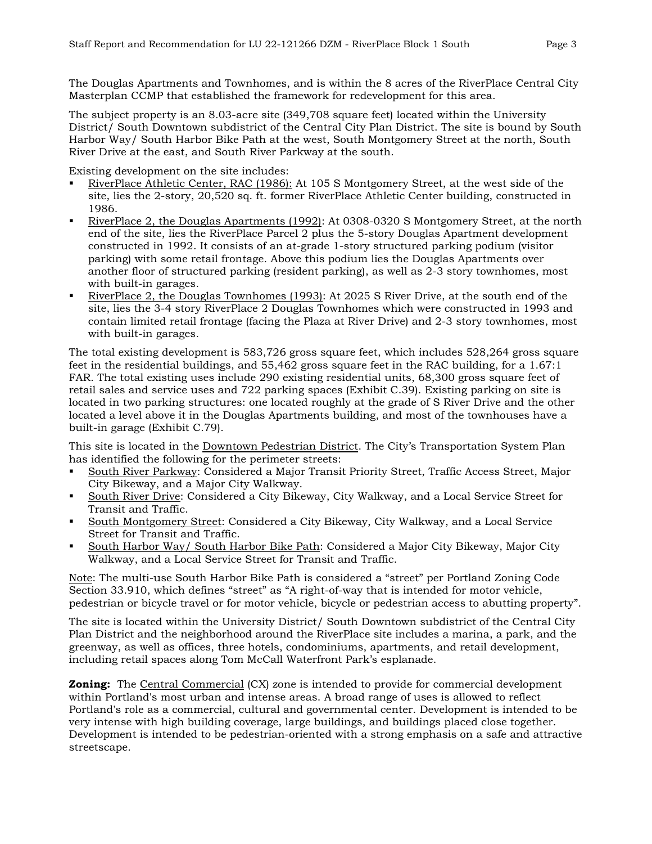The Douglas Apartments and Townhomes, and is within the 8 acres of the RiverPlace Central City Masterplan CCMP that established the framework for redevelopment for this area.

The subject property is an 8.03-acre site (349,708 square feet) located within the University District/ South Downtown subdistrict of the Central City Plan District. The site is bound by South Harbor Way/ South Harbor Bike Path at the west, South Montgomery Street at the north, South River Drive at the east, and South River Parkway at the south.

Existing development on the site includes:

- RiverPlace Athletic Center, RAC (1986): At 105 S Montgomery Street, at the west side of the site, lies the 2-story, 20,520 sq. ft. former RiverPlace Athletic Center building, constructed in 1986.
- RiverPlace 2, the Douglas Apartments (1992): At 0308-0320 S Montgomery Street, at the north end of the site, lies the RiverPlace Parcel 2 plus the 5-story Douglas Apartment development constructed in 1992. It consists of an at-grade 1-story structured parking podium (visitor parking) with some retail frontage. Above this podium lies the Douglas Apartments over another floor of structured parking (resident parking), as well as 2-3 story townhomes, most with built-in garages.
- RiverPlace 2, the Douglas Townhomes (1993): At 2025 S River Drive, at the south end of the site, lies the 3-4 story RiverPlace 2 Douglas Townhomes which were constructed in 1993 and contain limited retail frontage (facing the Plaza at River Drive) and 2-3 story townhomes, most with built-in garages.

The total existing development is 583,726 gross square feet, which includes 528,264 gross square feet in the residential buildings, and 55,462 gross square feet in the RAC building, for a 1.67:1 FAR. The total existing uses include 290 existing residential units, 68,300 gross square feet of retail sales and service uses and 722 parking spaces (Exhibit C.39). Existing parking on site is located in two parking structures: one located roughly at the grade of S River Drive and the other located a level above it in the Douglas Apartments building, and most of the townhouses have a built-in garage (Exhibit C.79).

This site is located in the Downtown Pedestrian District. The City's Transportation System Plan has identified the following for the perimeter streets:

- South River Parkway: Considered a Major Transit Priority Street, Traffic Access Street, Major City Bikeway, and a Major City Walkway.
- South River Drive: Considered a City Bikeway, City Walkway, and a Local Service Street for Transit and Traffic.
- South Montgomery Street: Considered a City Bikeway, City Walkway, and a Local Service Street for Transit and Traffic.
- South Harbor Way/ South Harbor Bike Path: Considered a Major City Bikeway, Major City Walkway, and a Local Service Street for Transit and Traffic.

Note: The multi-use South Harbor Bike Path is considered a "street" per Portland Zoning Code Section 33.910, which defines "street" as "A right-of-way that is intended for motor vehicle, pedestrian or bicycle travel or for motor vehicle, bicycle or pedestrian access to abutting property".

The site is located within the University District/ South Downtown subdistrict of the Central City Plan District and the neighborhood around the RiverPlace site includes a marina, a park, and the greenway, as well as offices, three hotels, condominiums, apartments, and retail development, including retail spaces along Tom McCall Waterfront Park's esplanade.

**Zoning:** The Central Commercial (CX) zone is intended to provide for commercial development within Portland's most urban and intense areas. A broad range of uses is allowed to reflect Portland's role as a commercial, cultural and governmental center. Development is intended to be very intense with high building coverage, large buildings, and buildings placed close together. Development is intended to be pedestrian-oriented with a strong emphasis on a safe and attractive streetscape.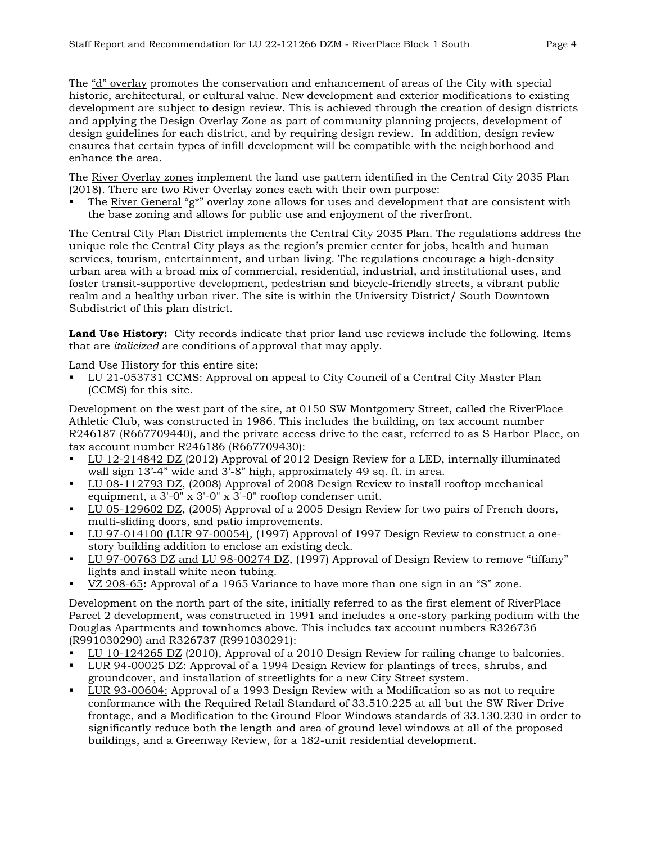The "d" overlay promotes the conservation and enhancement of areas of the City with special historic, architectural, or cultural value. New development and exterior modifications to existing development are subject to design review. This is achieved through the creation of design districts and applying the Design Overlay Zone as part of community planning projects, development of design guidelines for each district, and by requiring design review. In addition, design review ensures that certain types of infill development will be compatible with the neighborhood and enhance the area.

The River Overlay zones implement the land use pattern identified in the Central City 2035 Plan (2018). There are two River Overlay zones each with their own purpose:

The River General "g\*" overlay zone allows for uses and development that are consistent with the base zoning and allows for public use and enjoyment of the riverfront.

The Central City Plan District implements the Central City 2035 Plan. The regulations address the unique role the Central City plays as the region's premier center for jobs, health and human services, tourism, entertainment, and urban living. The regulations encourage a high-density urban area with a broad mix of commercial, residential, industrial, and institutional uses, and foster transit-supportive development, pedestrian and bicycle-friendly streets, a vibrant public realm and a healthy urban river. The site is within the University District/ South Downtown Subdistrict of this plan district.

**Land Use History:** City records indicate that prior land use reviews include the following. Items that are *italicized* are conditions of approval that may apply.

Land Use History for this entire site:

 LU 21-053731 CCMS: Approval on appeal to City Council of a Central City Master Plan (CCMS) for this site.

Development on the west part of the site, at 0150 SW Montgomery Street, called the RiverPlace Athletic Club, was constructed in 1986. This includes the building, on tax account number R246187 (R667709440), and the private access drive to the east, referred to as S Harbor Place, on tax account number R246186 (R667709430):

- LU 12-214842 DZ (2012) Approval of 2012 Design Review for a LED, internally illuminated wall sign 13'-4" wide and 3'-8" high, approximately 49 sq. ft. in area.
- LU 08-112793 DZ, (2008) Approval of 2008 Design Review to install rooftop mechanical equipment, a 3'-0" x 3'-0" x 3'-0" rooftop condenser unit.
- LU 05-129602 DZ, (2005) Approval of a 2005 Design Review for two pairs of French doors, multi-sliding doors, and patio improvements.
- LU 97-014100 (LUR 97-00054), (1997) Approval of 1997 Design Review to construct a onestory building addition to enclose an existing deck.
- LU 97-00763 DZ and LU 98-00274 DZ, (1997) Approval of Design Review to remove "tiffany" lights and install white neon tubing.
- VZ 208-65**:** Approval of a 1965 Variance to have more than one sign in an "S" zone.

Development on the north part of the site, initially referred to as the first element of RiverPlace Parcel 2 development, was constructed in 1991 and includes a one-story parking podium with the Douglas Apartments and townhomes above. This includes tax account numbers R326736 (R991030290) and R326737 (R991030291):

- LU 10-124265 DZ (2010), Approval of a 2010 Design Review for railing change to balconies.
- LUR 94-00025 DZ: Approval of a 1994 Design Review for plantings of trees, shrubs, and groundcover, and installation of streetlights for a new City Street system.
- LUR 93-00604: Approval of a 1993 Design Review with a Modification so as not to require conformance with the Required Retail Standard of 33.510.225 at all but the SW River Drive frontage, and a Modification to the Ground Floor Windows standards of 33.130.230 in order to significantly reduce both the length and area of ground level windows at all of the proposed buildings, and a Greenway Review, for a 182-unit residential development.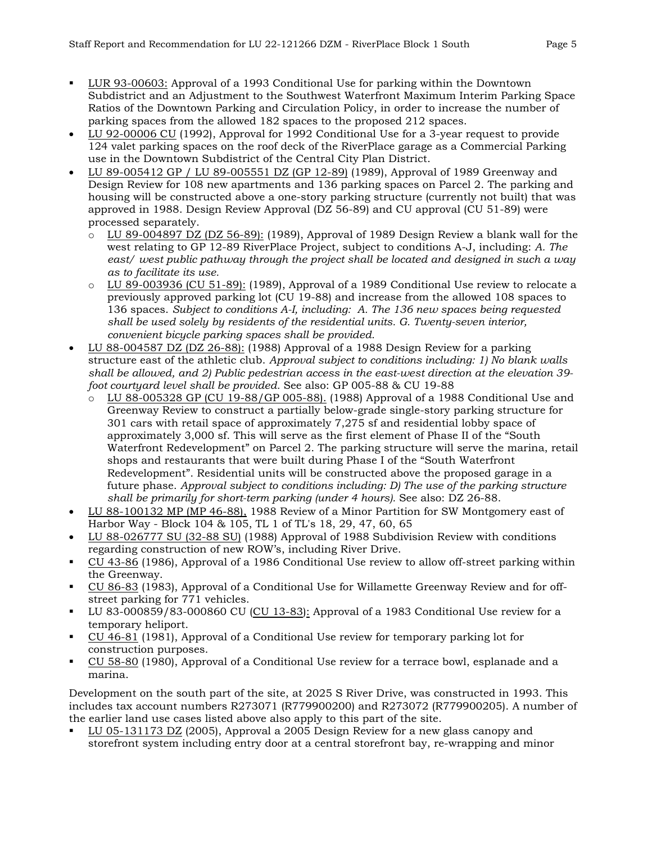- LUR 93-00603: Approval of a 1993 Conditional Use for parking within the Downtown Subdistrict and an Adjustment to the Southwest Waterfront Maximum Interim Parking Space Ratios of the Downtown Parking and Circulation Policy, in order to increase the number of parking spaces from the allowed 182 spaces to the proposed 212 spaces.
- LU 92-00006 CU (1992), Approval for 1992 Conditional Use for a 3-year request to provide 124 valet parking spaces on the roof deck of the RiverPlace garage as a Commercial Parking use in the Downtown Subdistrict of the Central City Plan District.
- LU 89-005412 GP / LU 89-005551 DZ (GP 12-89) (1989), Approval of 1989 Greenway and Design Review for 108 new apartments and 136 parking spaces on Parcel 2. The parking and housing will be constructed above a one-story parking structure (currently not built) that was approved in 1988. Design Review Approval (DZ 56-89) and CU approval (CU 51-89) were processed separately.
	- $\overline{O}$  LU 89-004897 DZ (DZ 56-89): (1989), Approval of 1989 Design Review a blank wall for the west relating to GP 12-89 RiverPlace Project, subject to conditions A-J, including: *A. The east/ west public pathway through the project shall be located and designed in such a way as to facilitate its use.*
	- $\circ$  LU 89-003936 (CU 51-89): (1989), Approval of a 1989 Conditional Use review to relocate a previously approved parking lot (CU 19-88) and increase from the allowed 108 spaces to 136 spaces. *Subject to conditions A-I, including: A. The 136 new spaces being requested shall be used solely by residents of the residential units. G. Twenty-seven interior, convenient bicycle parking spaces shall be provided.*
- LU 88-004587 DZ (DZ 26-88): (1988) Approval of a 1988 Design Review for a parking structure east of the athletic club. *Approval subject to conditions including: 1) No blank walls shall be allowed, and 2) Public pedestrian access in the east-west direction at the elevation 39 foot courtyard level shall be provided.* See also: GP 005-88 & CU 19-88
	- o LU 88-005328 GP (CU 19-88/GP 005-88). (1988) Approval of a 1988 Conditional Use and Greenway Review to construct a partially below-grade single-story parking structure for 301 cars with retail space of approximately 7,275 sf and residential lobby space of approximately 3,000 sf. This will serve as the first element of Phase II of the "South Waterfront Redevelopment" on Parcel 2. The parking structure will serve the marina, retail shops and restaurants that were built during Phase I of the "South Waterfront Redevelopment". Residential units will be constructed above the proposed garage in a future phase. *Approval subject to conditions including: D) The use of the parking structure shall be primarily for short-term parking (under 4 hours).* See also: DZ 26-88.
- LU 88-100132 MP (MP 46-88), 1988 Review of a Minor Partition for SW Montgomery east of Harbor Way - Block 104 & 105, TL 1 of TL's 18, 29, 47, 60, 65
- LU 88-026777 SU (32-88 SU) (1988) Approval of 1988 Subdivision Review with conditions regarding construction of new ROW's, including River Drive.
- CU 43-86 (1986), Approval of a 1986 Conditional Use review to allow off-street parking within the Greenway.
- CU 86-83 (1983), Approval of a Conditional Use for Willamette Greenway Review and for offstreet parking for 771 vehicles.
- LU 83-000859/83-000860 CU (CU 13-83): Approval of a 1983 Conditional Use review for a temporary heliport.
- CU 46-81 (1981), Approval of a Conditional Use review for temporary parking lot for construction purposes.
- CU 58-80 (1980), Approval of a Conditional Use review for a terrace bowl, esplanade and a marina.

Development on the south part of the site, at 2025 S River Drive, was constructed in 1993. This includes tax account numbers R273071 (R779900200) and R273072 (R779900205). A number of the earlier land use cases listed above also apply to this part of the site.

 LU 05-131173 DZ (2005), Approval a 2005 Design Review for a new glass canopy and storefront system including entry door at a central storefront bay, re-wrapping and minor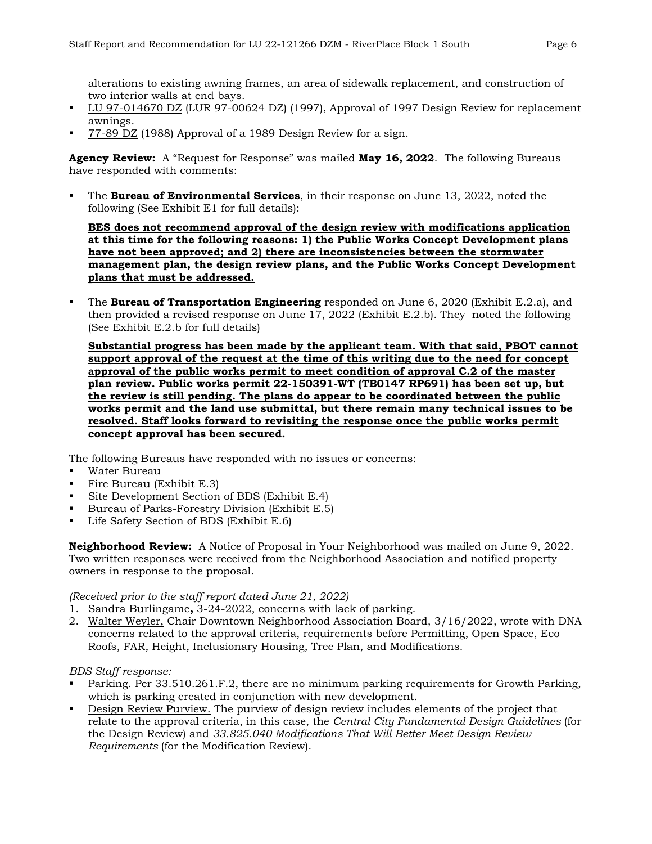alterations to existing awning frames, an area of sidewalk replacement, and construction of two interior walls at end bays.

- LU 97-014670 DZ (LUR 97-00624 DZ) (1997), Approval of 1997 Design Review for replacement awnings.
- 77-89 DZ (1988) Approval of a 1989 Design Review for a sign.

**Agency Review:** A "Request for Response" was mailed **May 16, 2022**. The following Bureaus have responded with comments:

 The **Bureau of Environmental Services**, in their response on June 13, 2022, noted the following (See Exhibit E1 for full details):

**BES does not recommend approval of the design review with modifications application at this time for the following reasons: 1) the Public Works Concept Development plans have not been approved; and 2) there are inconsistencies between the stormwater management plan, the design review plans, and the Public Works Concept Development plans that must be addressed.**

 The **Bureau of Transportation Engineering** responded on June 6, 2020 (Exhibit E.2.a), and then provided a revised response on June 17, 2022 (Exhibit E.2.b). They noted the following (See Exhibit E.2.b for full details)

**Substantial progress has been made by the applicant team. With that said, PBOT cannot support approval of the request at the time of this writing due to the need for concept approval of the public works permit to meet condition of approval C.2 of the master plan review. Public works permit 22-150391-WT (TB0147 RP691) has been set up, but the review is still pending. The plans do appear to be coordinated between the public works permit and the land use submittal, but there remain many technical issues to be resolved. Staff looks forward to revisiting the response once the public works permit concept approval has been secured.**

The following Bureaus have responded with no issues or concerns:

- Water Bureau
- Fire Bureau (Exhibit E.3)
- Site Development Section of BDS (Exhibit E.4)
- Bureau of Parks-Forestry Division (Exhibit E.5)
- **Life Safety Section of BDS (Exhibit E.6)**

**Neighborhood Review:** A Notice of Proposal in Your Neighborhood was mailed on June 9, 2022. Two written responses were received from the Neighborhood Association and notified property owners in response to the proposal.

#### *(Received prior to the staff report dated June 21, 2022)*

- 1. Sandra Burlingame**,** 3-24-2022, concerns with lack of parking.
- 2. Walter Weyler, Chair Downtown Neighborhood Association Board, 3/16/2022, wrote with DNA concerns related to the approval criteria, requirements before Permitting, Open Space, Eco Roofs, FAR, Height, Inclusionary Housing, Tree Plan, and Modifications.

#### *BDS Staff response:*

- Parking. Per 33.510.261.F.2, there are no minimum parking requirements for Growth Parking, which is parking created in conjunction with new development.
- Design Review Purview. The purview of design review includes elements of the project that relate to the approval criteria, in this case, the *Central City Fundamental Design Guidelines* (for the Design Review) and *33.825.040 Modifications That Will Better Meet Design Review Requirements* (for the Modification Review).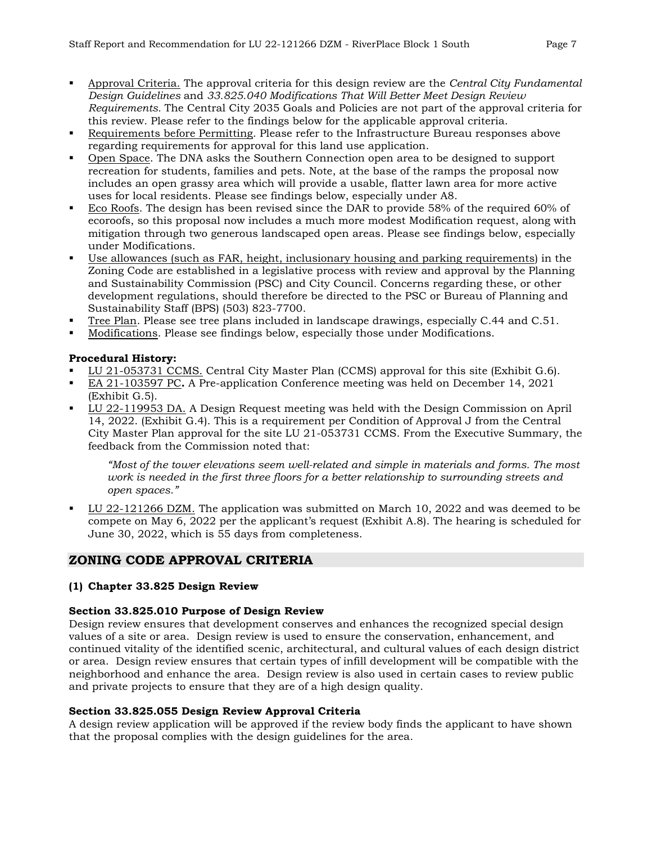- Approval Criteria. The approval criteria for this design review are the *Central City Fundamental Design Guidelines* and *33.825.040 Modifications That Will Better Meet Design Review Requirements.* The Central City 2035 Goals and Policies are not part of the approval criteria for this review. Please refer to the findings below for the applicable approval criteria.
- Requirements before Permitting. Please refer to the Infrastructure Bureau responses above regarding requirements for approval for this land use application.
- Open Space. The DNA asks the Southern Connection open area to be designed to support recreation for students, families and pets. Note, at the base of the ramps the proposal now includes an open grassy area which will provide a usable, flatter lawn area for more active uses for local residents. Please see findings below, especially under A8.
- Eco Roofs. The design has been revised since the DAR to provide 58% of the required 60% of ecoroofs, so this proposal now includes a much more modest Modification request, along with mitigation through two generous landscaped open areas. Please see findings below, especially under Modifications.
- Use allowances (such as FAR, height, inclusionary housing and parking requirements) in the Zoning Code are established in a legislative process with review and approval by the Planning and Sustainability Commission (PSC) and City Council. Concerns regarding these, or other development regulations, should therefore be directed to the PSC or Bureau of Planning and Sustainability Staff (BPS) [\(503\) 823-7700.](https://www.google.com/search?q=bps+portland&rlz=1C1GCEU_enUS901US902&oq=bps+portland&aqs=chrome..69i57j69i60j69i65l2.2384j0j9&sourceid=chrome&ie=UTF-8)
- Tree Plan. Please see tree plans included in landscape drawings, especially C.44 and C.51.
- Modifications. Please see findings below, especially those under Modifications.

## **Procedural History:**

- LU 21-053731 CCMS. Central City Master Plan (CCMS) approval for this site (Exhibit G.6).
- EA 21-103597 PC**.** A Pre-application Conference meeting was held on December 14, 2021 (Exhibit G.5).
- LU 22-119953 DA. A Design Request meeting was held with the Design Commission on April 14, 2022. (Exhibit G.4). This is a requirement per Condition of Approval J from the Central City Master Plan approval for the site LU 21-053731 CCMS. From the Executive Summary, the feedback from the Commission noted that:

*"Most of the tower elevations seem well-related and simple in materials and forms. The most work is needed in the first three floors for a better relationship to surrounding streets and open spaces."* 

 LU 22-121266 DZM. The application was submitted on March 10, 2022 and was deemed to be compete on May 6, 2022 per the applicant's request (Exhibit A.8). The hearing is scheduled for June 30, 2022, which is 55 days from completeness.

## **ZONING CODE APPROVAL CRITERIA**

## **(1) Chapter 33.825 Design Review**

## **Section 33.825.010 Purpose of Design Review**

Design review ensures that development conserves and enhances the recognized special design values of a site or area. Design review is used to ensure the conservation, enhancement, and continued vitality of the identified scenic, architectural, and cultural values of each design district or area. Design review ensures that certain types of infill development will be compatible with the neighborhood and enhance the area. Design review is also used in certain cases to review public and private projects to ensure that they are of a high design quality.

## **Section 33.825.055 Design Review Approval Criteria**

A design review application will be approved if the review body finds the applicant to have shown that the proposal complies with the design guidelines for the area.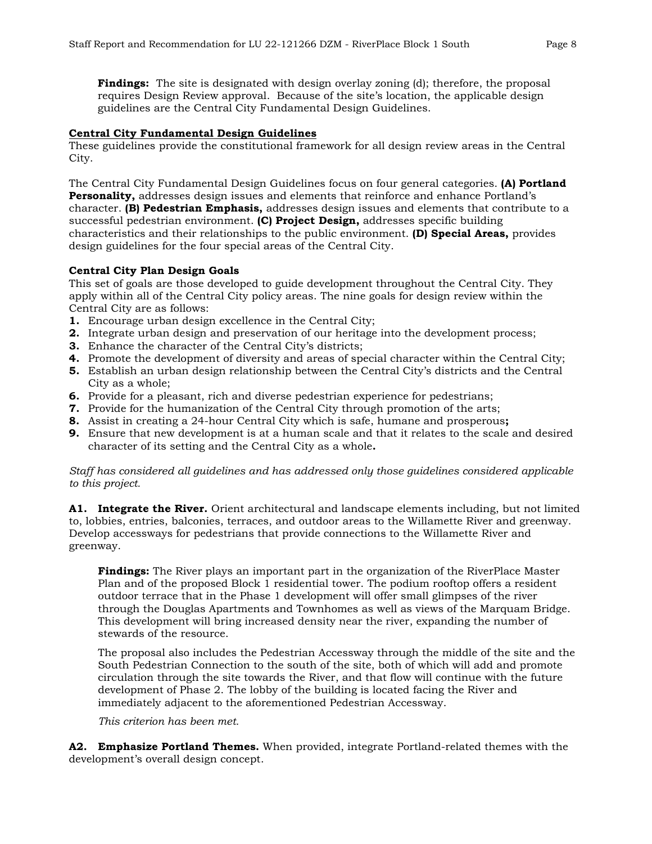**Findings:** The site is designated with design overlay zoning (d); therefore, the proposal requires Design Review approval. Because of the site's location, the applicable design guidelines are the Central City Fundamental Design Guidelines.

#### **Central City Fundamental Design Guidelines**

These guidelines provide the constitutional framework for all design review areas in the Central City.

The Central City Fundamental Design Guidelines focus on four general categories. **(A) Portland Personality,** addresses design issues and elements that reinforce and enhance Portland's character. **(B) Pedestrian Emphasis,** addresses design issues and elements that contribute to a successful pedestrian environment. **(C) Project Design,** addresses specific building characteristics and their relationships to the public environment. **(D) Special Areas,** provides design guidelines for the four special areas of the Central City.

#### **Central City Plan Design Goals**

This set of goals are those developed to guide development throughout the Central City. They apply within all of the Central City policy areas. The nine goals for design review within the Central City are as follows:

- **1.** Encourage urban design excellence in the Central City;
- **2.** Integrate urban design and preservation of our heritage into the development process;
- **3.** Enhance the character of the Central City's districts;
- **4.** Promote the development of diversity and areas of special character within the Central City;
- **5.** Establish an urban design relationship between the Central City's districts and the Central City as a whole;
- **6.** Provide for a pleasant, rich and diverse pedestrian experience for pedestrians;
- **7.** Provide for the humanization of the Central City through promotion of the arts;
- **8.** Assist in creating a 24-hour Central City which is safe, humane and prosperous**;**
- **9.** Ensure that new development is at a human scale and that it relates to the scale and desired character of its setting and the Central City as a whole**.**

*Staff has considered all guidelines and has addressed only those guidelines considered applicable to this project.*

**A1. Integrate the River.** Orient architectural and landscape elements including, but not limited to, lobbies, entries, balconies, terraces, and outdoor areas to the Willamette River and greenway. Develop accessways for pedestrians that provide connections to the Willamette River and greenway.

**Findings:** The River plays an important part in the organization of the RiverPlace Master Plan and of the proposed Block 1 residential tower. The podium rooftop offers a resident outdoor terrace that in the Phase 1 development will offer small glimpses of the river through the Douglas Apartments and Townhomes as well as views of the Marquam Bridge. This development will bring increased density near the river, expanding the number of stewards of the resource.

The proposal also includes the Pedestrian Accessway through the middle of the site and the South Pedestrian Connection to the south of the site, both of which will add and promote circulation through the site towards the River, and that flow will continue with the future development of Phase 2. The lobby of the building is located facing the River and immediately adjacent to the aforementioned Pedestrian Accessway.

*This criterion has been met.*

**A2. Emphasize Portland Themes.** When provided, integrate Portland-related themes with the development's overall design concept.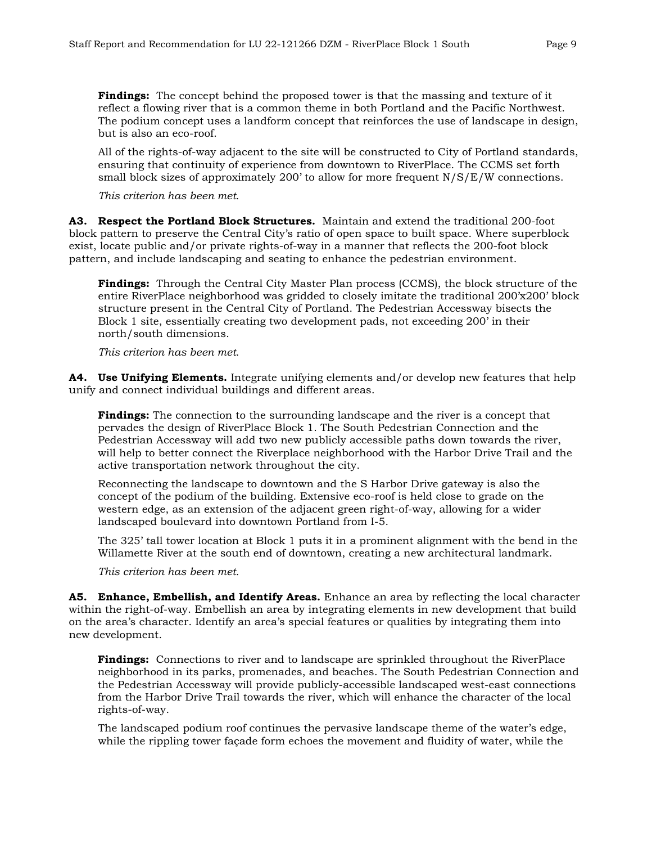**Findings:** The concept behind the proposed tower is that the massing and texture of it reflect a flowing river that is a common theme in both Portland and the Pacific Northwest. The podium concept uses a landform concept that reinforces the use of landscape in design, but is also an eco-roof.

All of the rights-of-way adjacent to the site will be constructed to City of Portland standards, ensuring that continuity of experience from downtown to RiverPlace. The CCMS set forth small block sizes of approximately 200' to allow for more frequent N/S/E/W connections.

*This criterion has been met.*

**A3. Respect the Portland Block Structures.** Maintain and extend the traditional 200-foot block pattern to preserve the Central City's ratio of open space to built space. Where superblock exist, locate public and/or private rights-of-way in a manner that reflects the 200-foot block pattern, and include landscaping and seating to enhance the pedestrian environment.

**Findings:** Through the Central City Master Plan process (CCMS), the block structure of the entire RiverPlace neighborhood was gridded to closely imitate the traditional 200'x200' block structure present in the Central City of Portland. The Pedestrian Accessway bisects the Block 1 site, essentially creating two development pads, not exceeding 200' in their north/south dimensions.

*This criterion has been met.*

**A4. Use Unifying Elements.** Integrate unifying elements and/or develop new features that help unify and connect individual buildings and different areas.

**Findings:** The connection to the surrounding landscape and the river is a concept that pervades the design of RiverPlace Block 1. The South Pedestrian Connection and the Pedestrian Accessway will add two new publicly accessible paths down towards the river, will help to better connect the Riverplace neighborhood with the Harbor Drive Trail and the active transportation network throughout the city.

Reconnecting the landscape to downtown and the S Harbor Drive gateway is also the concept of the podium of the building. Extensive eco-roof is held close to grade on the western edge, as an extension of the adjacent green right-of-way, allowing for a wider landscaped boulevard into downtown Portland from I-5.

The 325' tall tower location at Block 1 puts it in a prominent alignment with the bend in the Willamette River at the south end of downtown, creating a new architectural landmark.

*This criterion has been met.*

**A5. Enhance, Embellish, and Identify Areas.** Enhance an area by reflecting the local character within the right-of-way. Embellish an area by integrating elements in new development that build on the area's character. Identify an area's special features or qualities by integrating them into new development.

**Findings:** Connections to river and to landscape are sprinkled throughout the RiverPlace neighborhood in its parks, promenades, and beaches. The South Pedestrian Connection and the Pedestrian Accessway will provide publicly-accessible landscaped west-east connections from the Harbor Drive Trail towards the river, which will enhance the character of the local rights-of-way.

The landscaped podium roof continues the pervasive landscape theme of the water's edge, while the rippling tower façade form echoes the movement and fluidity of water, while the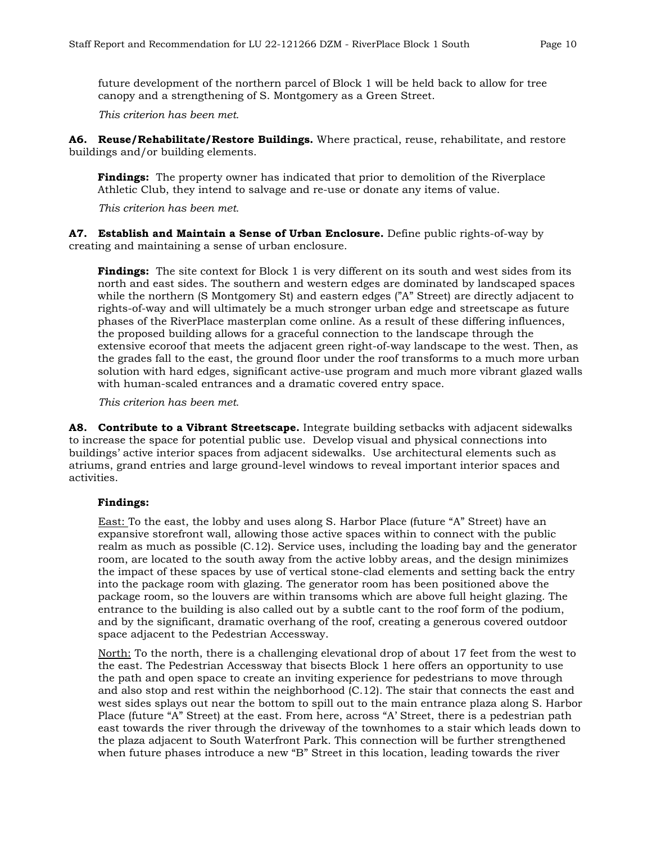future development of the northern parcel of Block 1 will be held back to allow for tree canopy and a strengthening of S. Montgomery as a Green Street.

*This criterion has been met.*

**A6. Reuse/Rehabilitate/Restore Buildings.** Where practical, reuse, rehabilitate, and restore buildings and/or building elements.

**Findings:** The property owner has indicated that prior to demolition of the Riverplace Athletic Club, they intend to salvage and re-use or donate any items of value.

*This criterion has been met.*

**A7. Establish and Maintain a Sense of Urban Enclosure.** Define public rights-of-way by creating and maintaining a sense of urban enclosure.

**Findings:** The site context for Block 1 is very different on its south and west sides from its north and east sides. The southern and western edges are dominated by landscaped spaces while the northern (S Montgomery St) and eastern edges ("A" Street) are directly adjacent to rights-of-way and will ultimately be a much stronger urban edge and streetscape as future phases of the RiverPlace masterplan come online. As a result of these differing influences, the proposed building allows for a graceful connection to the landscape through the extensive ecoroof that meets the adjacent green right-of-way landscape to the west. Then, as the grades fall to the east, the ground floor under the roof transforms to a much more urban solution with hard edges, significant active-use program and much more vibrant glazed walls with human-scaled entrances and a dramatic covered entry space.

*This criterion has been met.*

**A8. Contribute to a Vibrant Streetscape.** Integrate building setbacks with adjacent sidewalks to increase the space for potential public use. Develop visual and physical connections into buildings' active interior spaces from adjacent sidewalks. Use architectural elements such as atriums, grand entries and large ground-level windows to reveal important interior spaces and activities.

#### **Findings:**

East: To the east, the lobby and uses along S. Harbor Place (future "A" Street) have an expansive storefront wall, allowing those active spaces within to connect with the public realm as much as possible (C.12). Service uses, including the loading bay and the generator room, are located to the south away from the active lobby areas, and the design minimizes the impact of these spaces by use of vertical stone-clad elements and setting back the entry into the package room with glazing. The generator room has been positioned above the package room, so the louvers are within transoms which are above full height glazing. The entrance to the building is also called out by a subtle cant to the roof form of the podium, and by the significant, dramatic overhang of the roof, creating a generous covered outdoor space adjacent to the Pedestrian Accessway.

North: To the north, there is a challenging elevational drop of about 17 feet from the west to the east. The Pedestrian Accessway that bisects Block 1 here offers an opportunity to use the path and open space to create an inviting experience for pedestrians to move through and also stop and rest within the neighborhood (C.12). The stair that connects the east and west sides splays out near the bottom to spill out to the main entrance plaza along S. Harbor Place (future "A" Street) at the east. From here, across "A' Street, there is a pedestrian path east towards the river through the driveway of the townhomes to a stair which leads down to the plaza adjacent to South Waterfront Park. This connection will be further strengthened when future phases introduce a new "B" Street in this location, leading towards the river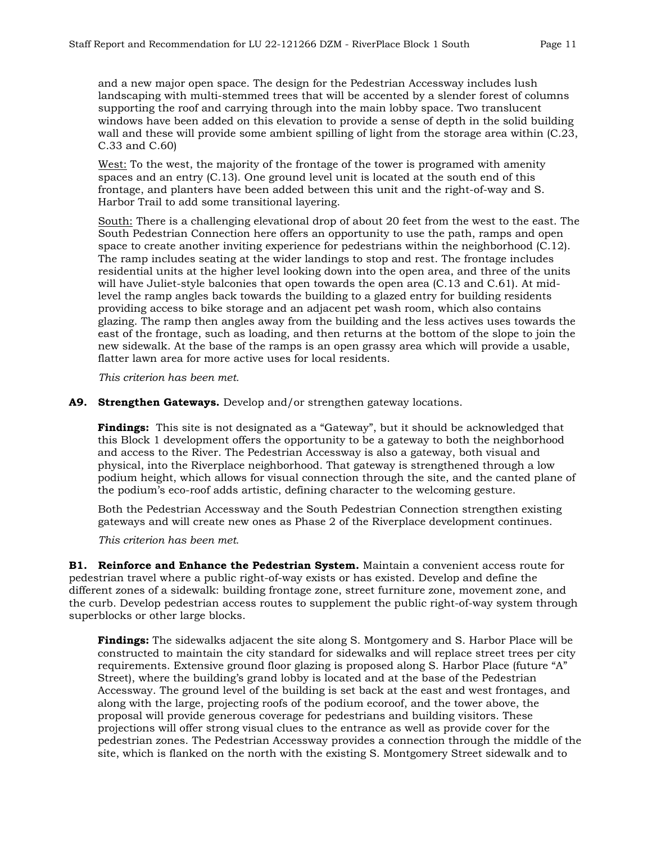and a new major open space. The design for the Pedestrian Accessway includes lush landscaping with multi-stemmed trees that will be accented by a slender forest of columns supporting the roof and carrying through into the main lobby space. Two translucent windows have been added on this elevation to provide a sense of depth in the solid building wall and these will provide some ambient spilling of light from the storage area within (C.23, C.33 and C.60)

West: To the west, the majority of the frontage of the tower is programed with amenity spaces and an entry (C.13). One ground level unit is located at the south end of this frontage, and planters have been added between this unit and the right-of-way and S. Harbor Trail to add some transitional layering.

South: There is a challenging elevational drop of about 20 feet from the west to the east. The South Pedestrian Connection here offers an opportunity to use the path, ramps and open space to create another inviting experience for pedestrians within the neighborhood (C.12). The ramp includes seating at the wider landings to stop and rest. The frontage includes residential units at the higher level looking down into the open area, and three of the units will have Juliet-style balconies that open towards the open area (C.13 and C.61). At midlevel the ramp angles back towards the building to a glazed entry for building residents providing access to bike storage and an adjacent pet wash room, which also contains glazing. The ramp then angles away from the building and the less actives uses towards the east of the frontage, such as loading, and then returns at the bottom of the slope to join the new sidewalk. At the base of the ramps is an open grassy area which will provide a usable, flatter lawn area for more active uses for local residents.

*This criterion has been met.*

#### **A9. Strengthen Gateways.** Develop and/or strengthen gateway locations.

**Findings:** This site is not designated as a "Gateway", but it should be acknowledged that this Block 1 development offers the opportunity to be a gateway to both the neighborhood and access to the River. The Pedestrian Accessway is also a gateway, both visual and physical, into the Riverplace neighborhood. That gateway is strengthened through a low podium height, which allows for visual connection through the site, and the canted plane of the podium's eco-roof adds artistic, defining character to the welcoming gesture.

Both the Pedestrian Accessway and the South Pedestrian Connection strengthen existing gateways and will create new ones as Phase 2 of the Riverplace development continues.

*This criterion has been met.*

**B1. Reinforce and Enhance the Pedestrian System.** Maintain a convenient access route for pedestrian travel where a public right-of-way exists or has existed. Develop and define the different zones of a sidewalk: building frontage zone, street furniture zone, movement zone, and the curb. Develop pedestrian access routes to supplement the public right-of-way system through superblocks or other large blocks.

**Findings:** The sidewalks adjacent the site along S. Montgomery and S. Harbor Place will be constructed to maintain the city standard for sidewalks and will replace street trees per city requirements. Extensive ground floor glazing is proposed along S. Harbor Place (future "A" Street), where the building's grand lobby is located and at the base of the Pedestrian Accessway. The ground level of the building is set back at the east and west frontages, and along with the large, projecting roofs of the podium ecoroof, and the tower above, the proposal will provide generous coverage for pedestrians and building visitors. These projections will offer strong visual clues to the entrance as well as provide cover for the pedestrian zones. The Pedestrian Accessway provides a connection through the middle of the site, which is flanked on the north with the existing S. Montgomery Street sidewalk and to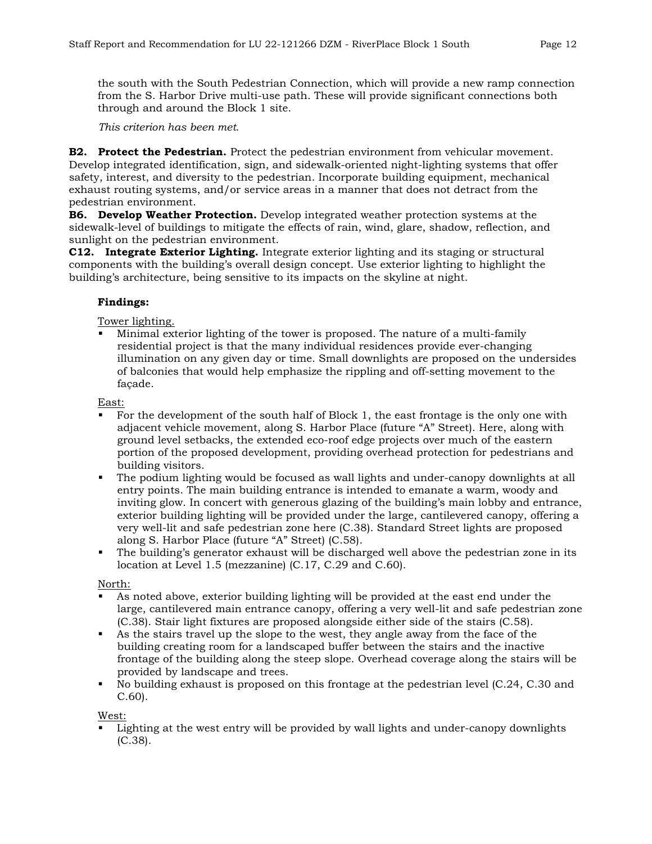the south with the South Pedestrian Connection, which will provide a new ramp connection from the S. Harbor Drive multi-use path. These will provide significant connections both through and around the Block 1 site.

*This criterion has been met.*

**B2. Protect the Pedestrian.** Protect the pedestrian environment from vehicular movement. Develop integrated identification, sign, and sidewalk-oriented night-lighting systems that offer safety, interest, and diversity to the pedestrian. Incorporate building equipment, mechanical exhaust routing systems, and/or service areas in a manner that does not detract from the pedestrian environment.

**B6. Develop Weather Protection.** Develop integrated weather protection systems at the sidewalk-level of buildings to mitigate the effects of rain, wind, glare, shadow, reflection, and sunlight on the pedestrian environment.

**C12. Integrate Exterior Lighting.** Integrate exterior lighting and its staging or structural components with the building's overall design concept. Use exterior lighting to highlight the building's architecture, being sensitive to its impacts on the skyline at night.

## **Findings:**

Tower lighting.

 Minimal exterior lighting of the tower is proposed. The nature of a multi-family residential project is that the many individual residences provide ever-changing illumination on any given day or time. Small downlights are proposed on the undersides of balconies that would help emphasize the rippling and off-setting movement to the façade.

East:

- For the development of the south half of Block 1, the east frontage is the only one with adjacent vehicle movement, along S. Harbor Place (future "A" Street). Here, along with ground level setbacks, the extended eco-roof edge projects over much of the eastern portion of the proposed development, providing overhead protection for pedestrians and building visitors.
- The podium lighting would be focused as wall lights and under-canopy downlights at all entry points. The main building entrance is intended to emanate a warm, woody and inviting glow. In concert with generous glazing of the building's main lobby and entrance, exterior building lighting will be provided under the large, cantilevered canopy, offering a very well-lit and safe pedestrian zone here (C.38). Standard Street lights are proposed along S. Harbor Place (future "A" Street) (C.58).
- The building's generator exhaust will be discharged well above the pedestrian zone in its location at Level 1.5 (mezzanine) (C.17, C.29 and C.60).

North:

- As noted above, exterior building lighting will be provided at the east end under the large, cantilevered main entrance canopy, offering a very well-lit and safe pedestrian zone (C.38). Stair light fixtures are proposed alongside either side of the stairs (C.58).
- As the stairs travel up the slope to the west, they angle away from the face of the building creating room for a landscaped buffer between the stairs and the inactive frontage of the building along the steep slope. Overhead coverage along the stairs will be provided by landscape and trees.
- No building exhaust is proposed on this frontage at the pedestrian level (C.24, C.30 and C.60).

West:

 Lighting at the west entry will be provided by wall lights and under-canopy downlights (C.38).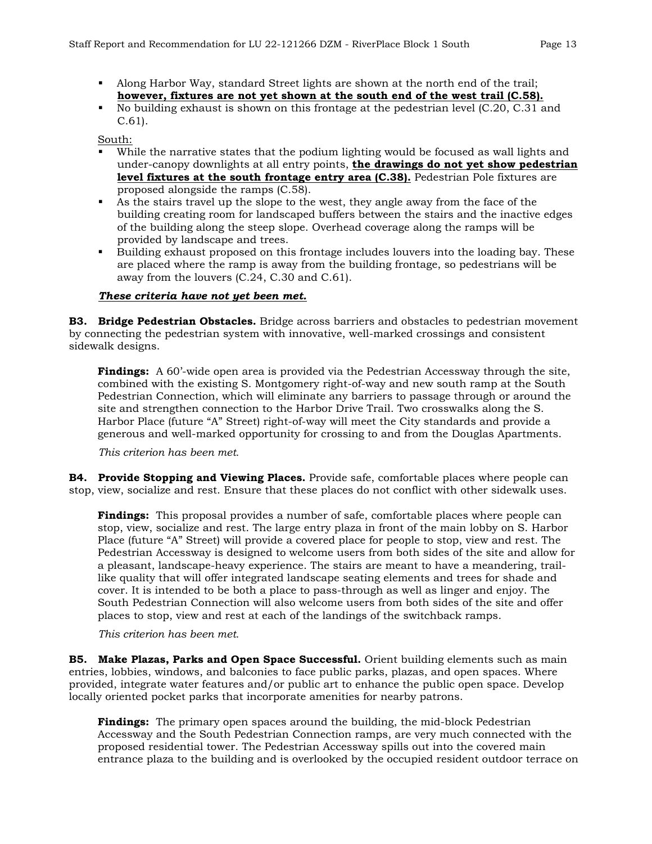- Along Harbor Way, standard Street lights are shown at the north end of the trail; **however, fixtures are not yet shown at the south end of the west trail (C.58).**
- No building exhaust is shown on this frontage at the pedestrian level (C.20, C.31 and C.61).

South:

- While the narrative states that the podium lighting would be focused as wall lights and under-canopy downlights at all entry points, **the drawings do not yet show pedestrian level fixtures at the south frontage entry area (C.38).** Pedestrian Pole fixtures are proposed alongside the ramps (C.58).
- As the stairs travel up the slope to the west, they angle away from the face of the building creating room for landscaped buffers between the stairs and the inactive edges of the building along the steep slope. Overhead coverage along the ramps will be provided by landscape and trees.
- Building exhaust proposed on this frontage includes louvers into the loading bay. These are placed where the ramp is away from the building frontage, so pedestrians will be away from the louvers (C.24, C.30 and C.61).

#### *These criteria have not yet been met.*

**B3. Bridge Pedestrian Obstacles.** Bridge across barriers and obstacles to pedestrian movement by connecting the pedestrian system with innovative, well-marked crossings and consistent sidewalk designs.

**Findings:** A 60'-wide open area is provided via the Pedestrian Accessway through the site, combined with the existing S. Montgomery right-of-way and new south ramp at the South Pedestrian Connection, which will eliminate any barriers to passage through or around the site and strengthen connection to the Harbor Drive Trail. Two crosswalks along the S. Harbor Place (future "A" Street) right-of-way will meet the City standards and provide a generous and well-marked opportunity for crossing to and from the Douglas Apartments.

*This criterion has been met.*

**B4. Provide Stopping and Viewing Places.** Provide safe, comfortable places where people can stop, view, socialize and rest. Ensure that these places do not conflict with other sidewalk uses.

**Findings:** This proposal provides a number of safe, comfortable places where people can stop, view, socialize and rest. The large entry plaza in front of the main lobby on S. Harbor Place (future "A" Street) will provide a covered place for people to stop, view and rest. The Pedestrian Accessway is designed to welcome users from both sides of the site and allow for a pleasant, landscape-heavy experience. The stairs are meant to have a meandering, traillike quality that will offer integrated landscape seating elements and trees for shade and cover. It is intended to be both a place to pass-through as well as linger and enjoy. The South Pedestrian Connection will also welcome users from both sides of the site and offer places to stop, view and rest at each of the landings of the switchback ramps.

*This criterion has been met.*

**B5. Make Plazas, Parks and Open Space Successful.** Orient building elements such as main entries, lobbies, windows, and balconies to face public parks, plazas, and open spaces. Where provided, integrate water features and/or public art to enhance the public open space. Develop locally oriented pocket parks that incorporate amenities for nearby patrons.

**Findings:** The primary open spaces around the building, the mid-block Pedestrian Accessway and the South Pedestrian Connection ramps, are very much connected with the proposed residential tower. The Pedestrian Accessway spills out into the covered main entrance plaza to the building and is overlooked by the occupied resident outdoor terrace on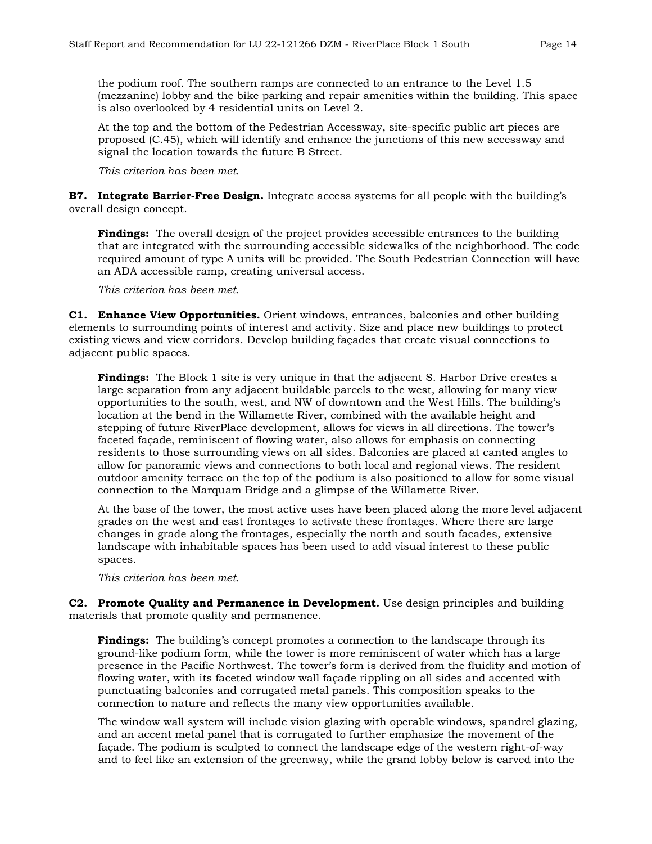the podium roof. The southern ramps are connected to an entrance to the Level 1.5 (mezzanine) lobby and the bike parking and repair amenities within the building. This space is also overlooked by 4 residential units on Level 2.

At the top and the bottom of the Pedestrian Accessway, site-specific public art pieces are proposed (C.45), which will identify and enhance the junctions of this new accessway and signal the location towards the future B Street.

*This criterion has been met.*

**B7. Integrate Barrier-Free Design.** Integrate access systems for all people with the building's overall design concept.

**Findings:** The overall design of the project provides accessible entrances to the building that are integrated with the surrounding accessible sidewalks of the neighborhood. The code required amount of type A units will be provided. The South Pedestrian Connection will have an ADA accessible ramp, creating universal access.

*This criterion has been met.*

**C1. Enhance View Opportunities.** Orient windows, entrances, balconies and other building elements to surrounding points of interest and activity. Size and place new buildings to protect existing views and view corridors. Develop building façades that create visual connections to adjacent public spaces.

**Findings:** The Block 1 site is very unique in that the adjacent S. Harbor Drive creates a large separation from any adjacent buildable parcels to the west, allowing for many view opportunities to the south, west, and NW of downtown and the West Hills. The building's location at the bend in the Willamette River, combined with the available height and stepping of future RiverPlace development, allows for views in all directions. The tower's faceted façade, reminiscent of flowing water, also allows for emphasis on connecting residents to those surrounding views on all sides. Balconies are placed at canted angles to allow for panoramic views and connections to both local and regional views. The resident outdoor amenity terrace on the top of the podium is also positioned to allow for some visual connection to the Marquam Bridge and a glimpse of the Willamette River.

At the base of the tower, the most active uses have been placed along the more level adjacent grades on the west and east frontages to activate these frontages. Where there are large changes in grade along the frontages, especially the north and south facades, extensive landscape with inhabitable spaces has been used to add visual interest to these public spaces.

*This criterion has been met.*

**C2. Promote Quality and Permanence in Development.** Use design principles and building materials that promote quality and permanence.

**Findings:** The building's concept promotes a connection to the landscape through its ground-like podium form, while the tower is more reminiscent of water which has a large presence in the Pacific Northwest. The tower's form is derived from the fluidity and motion of flowing water, with its faceted window wall façade rippling on all sides and accented with punctuating balconies and corrugated metal panels. This composition speaks to the connection to nature and reflects the many view opportunities available.

The window wall system will include vision glazing with operable windows, spandrel glazing, and an accent metal panel that is corrugated to further emphasize the movement of the façade. The podium is sculpted to connect the landscape edge of the western right-of-way and to feel like an extension of the greenway, while the grand lobby below is carved into the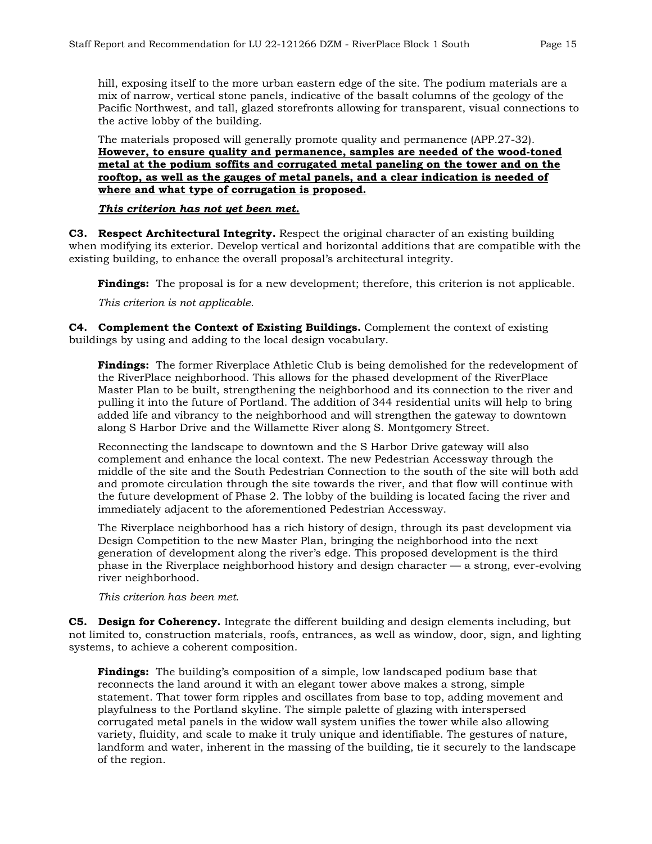hill, exposing itself to the more urban eastern edge of the site. The podium materials are a mix of narrow, vertical stone panels, indicative of the basalt columns of the geology of the Pacific Northwest, and tall, glazed storefronts allowing for transparent, visual connections to the active lobby of the building.

The materials proposed will generally promote quality and permanence (APP.27-32). **However, to ensure quality and permanence, samples are needed of the wood-toned metal at the podium soffits and corrugated metal paneling on the tower and on the rooftop, as well as the gauges of metal panels, and a clear indication is needed of where and what type of corrugation is proposed.** 

#### *This criterion has not yet been met.*

**C3. Respect Architectural Integrity.** Respect the original character of an existing building when modifying its exterior. Develop vertical and horizontal additions that are compatible with the existing building, to enhance the overall proposal's architectural integrity.

**Findings:** The proposal is for a new development; therefore, this criterion is not applicable.

*This criterion is not applicable.* 

**C4. Complement the Context of Existing Buildings.** Complement the context of existing buildings by using and adding to the local design vocabulary.

**Findings:** The former Riverplace Athletic Club is being demolished for the redevelopment of the RiverPlace neighborhood. This allows for the phased development of the RiverPlace Master Plan to be built, strengthening the neighborhood and its connection to the river and pulling it into the future of Portland. The addition of 344 residential units will help to bring added life and vibrancy to the neighborhood and will strengthen the gateway to downtown along S Harbor Drive and the Willamette River along S. Montgomery Street.

Reconnecting the landscape to downtown and the S Harbor Drive gateway will also complement and enhance the local context. The new Pedestrian Accessway through the middle of the site and the South Pedestrian Connection to the south of the site will both add and promote circulation through the site towards the river, and that flow will continue with the future development of Phase 2. The lobby of the building is located facing the river and immediately adjacent to the aforementioned Pedestrian Accessway.

The Riverplace neighborhood has a rich history of design, through its past development via Design Competition to the new Master Plan, bringing the neighborhood into the next generation of development along the river's edge. This proposed development is the third phase in the Riverplace neighborhood history and design character — a strong, ever-evolving river neighborhood.

*This criterion has been met.*

**C5. Design for Coherency.** Integrate the different building and design elements including, but not limited to, construction materials, roofs, entrances, as well as window, door, sign, and lighting systems, to achieve a coherent composition.

**Findings:** The building's composition of a simple, low landscaped podium base that reconnects the land around it with an elegant tower above makes a strong, simple statement. That tower form ripples and oscillates from base to top, adding movement and playfulness to the Portland skyline. The simple palette of glazing with interspersed corrugated metal panels in the widow wall system unifies the tower while also allowing variety, fluidity, and scale to make it truly unique and identifiable. The gestures of nature, landform and water, inherent in the massing of the building, tie it securely to the landscape of the region.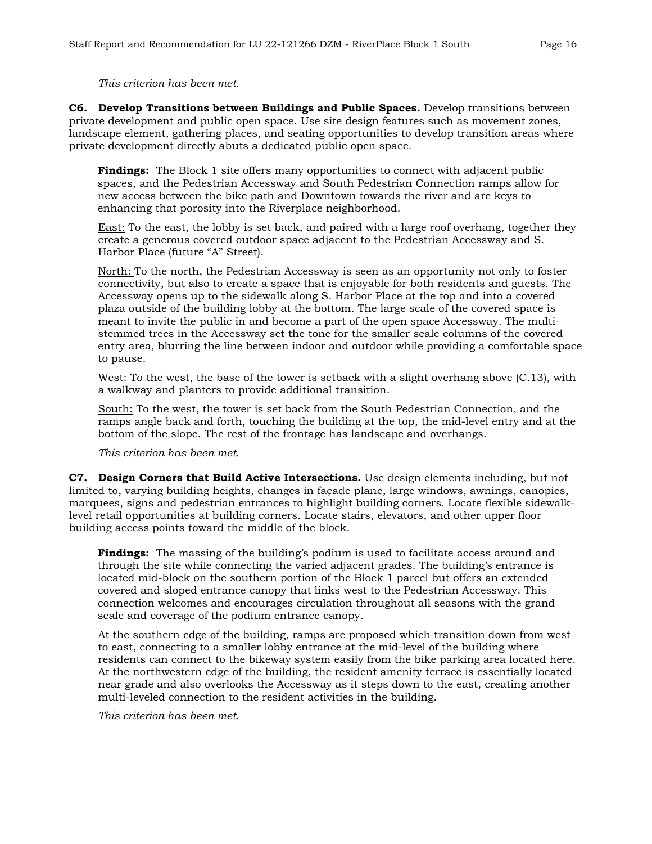#### *This criterion has been met.*

**C6. Develop Transitions between Buildings and Public Spaces.** Develop transitions between private development and public open space. Use site design features such as movement zones, landscape element, gathering places, and seating opportunities to develop transition areas where private development directly abuts a dedicated public open space.

**Findings:** The Block 1 site offers many opportunities to connect with adjacent public spaces, and the Pedestrian Accessway and South Pedestrian Connection ramps allow for new access between the bike path and Downtown towards the river and are keys to enhancing that porosity into the Riverplace neighborhood.

East: To the east, the lobby is set back, and paired with a large roof overhang, together they create a generous covered outdoor space adjacent to the Pedestrian Accessway and S. Harbor Place (future "A" Street).

North: To the north, the Pedestrian Accessway is seen as an opportunity not only to foster connectivity, but also to create a space that is enjoyable for both residents and guests. The Accessway opens up to the sidewalk along S. Harbor Place at the top and into a covered plaza outside of the building lobby at the bottom. The large scale of the covered space is meant to invite the public in and become a part of the open space Accessway. The multistemmed trees in the Accessway set the tone for the smaller scale columns of the covered entry area, blurring the line between indoor and outdoor while providing a comfortable space to pause.

West: To the west, the base of the tower is setback with a slight overhang above (C.13), with a walkway and planters to provide additional transition.

South: To the west, the tower is set back from the South Pedestrian Connection, and the ramps angle back and forth, touching the building at the top, the mid-level entry and at the bottom of the slope. The rest of the frontage has landscape and overhangs.

*This criterion has been met.*

**C7. Design Corners that Build Active Intersections.** Use design elements including, but not limited to, varying building heights, changes in façade plane, large windows, awnings, canopies, marquees, signs and pedestrian entrances to highlight building corners. Locate flexible sidewalklevel retail opportunities at building corners. Locate stairs, elevators, and other upper floor building access points toward the middle of the block.

**Findings:** The massing of the building's podium is used to facilitate access around and through the site while connecting the varied adjacent grades. The building's entrance is located mid-block on the southern portion of the Block 1 parcel but offers an extended covered and sloped entrance canopy that links west to the Pedestrian Accessway. This connection welcomes and encourages circulation throughout all seasons with the grand scale and coverage of the podium entrance canopy.

At the southern edge of the building, ramps are proposed which transition down from west to east, connecting to a smaller lobby entrance at the mid-level of the building where residents can connect to the bikeway system easily from the bike parking area located here. At the northwestern edge of the building, the resident amenity terrace is essentially located near grade and also overlooks the Accessway as it steps down to the east, creating another multi-leveled connection to the resident activities in the building.

*This criterion has been met.*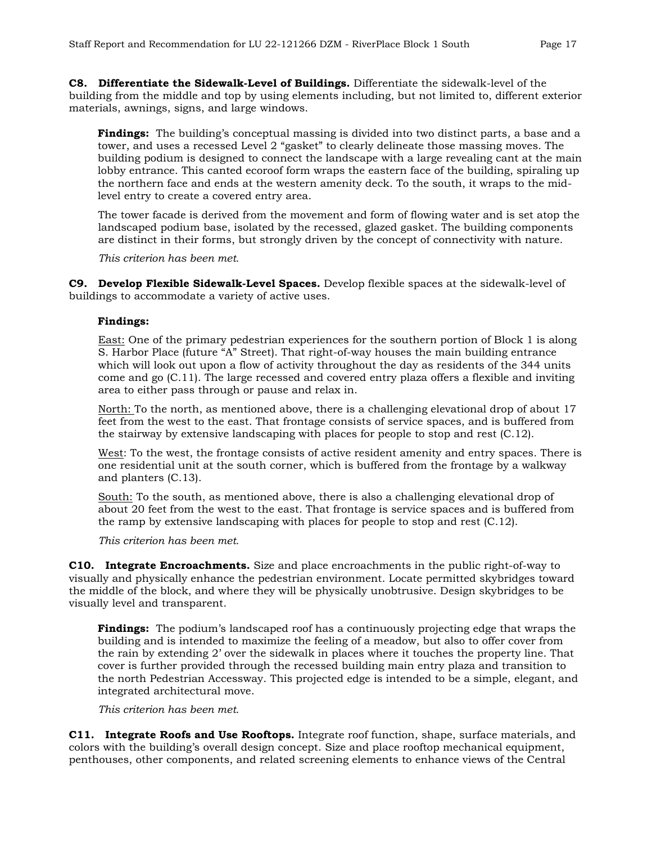**C8. Differentiate the Sidewalk-Level of Buildings.** Differentiate the sidewalk-level of the building from the middle and top by using elements including, but not limited to, different exterior materials, awnings, signs, and large windows.

**Findings:** The building's conceptual massing is divided into two distinct parts, a base and a tower, and uses a recessed Level 2 "gasket" to clearly delineate those massing moves. The building podium is designed to connect the landscape with a large revealing cant at the main lobby entrance. This canted ecoroof form wraps the eastern face of the building, spiraling up the northern face and ends at the western amenity deck. To the south, it wraps to the midlevel entry to create a covered entry area.

The tower facade is derived from the movement and form of flowing water and is set atop the landscaped podium base, isolated by the recessed, glazed gasket. The building components are distinct in their forms, but strongly driven by the concept of connectivity with nature.

*This criterion has been met.*

**C9. Develop Flexible Sidewalk-Level Spaces.** Develop flexible spaces at the sidewalk-level of buildings to accommodate a variety of active uses.

#### **Findings:**

East: One of the primary pedestrian experiences for the southern portion of Block 1 is along S. Harbor Place (future "A" Street). That right-of-way houses the main building entrance which will look out upon a flow of activity throughout the day as residents of the 344 units come and go (C.11). The large recessed and covered entry plaza offers a flexible and inviting area to either pass through or pause and relax in.

North: To the north, as mentioned above, there is a challenging elevational drop of about 17 feet from the west to the east. That frontage consists of service spaces, and is buffered from the stairway by extensive landscaping with places for people to stop and rest (C.12).

West: To the west, the frontage consists of active resident amenity and entry spaces. There is one residential unit at the south corner, which is buffered from the frontage by a walkway and planters (C.13).

South: To the south, as mentioned above, there is also a challenging elevational drop of about 20 feet from the west to the east. That frontage is service spaces and is buffered from the ramp by extensive landscaping with places for people to stop and rest (C.12).

*This criterion has been met.*

**C10. Integrate Encroachments.** Size and place encroachments in the public right-of-way to visually and physically enhance the pedestrian environment. Locate permitted skybridges toward the middle of the block, and where they will be physically unobtrusive. Design skybridges to be visually level and transparent.

**Findings:** The podium's landscaped roof has a continuously projecting edge that wraps the building and is intended to maximize the feeling of a meadow, but also to offer cover from the rain by extending 2' over the sidewalk in places where it touches the property line. That cover is further provided through the recessed building main entry plaza and transition to the north Pedestrian Accessway. This projected edge is intended to be a simple, elegant, and integrated architectural move.

*This criterion has been met.*

**C11. Integrate Roofs and Use Rooftops.** Integrate roof function, shape, surface materials, and colors with the building's overall design concept. Size and place rooftop mechanical equipment, penthouses, other components, and related screening elements to enhance views of the Central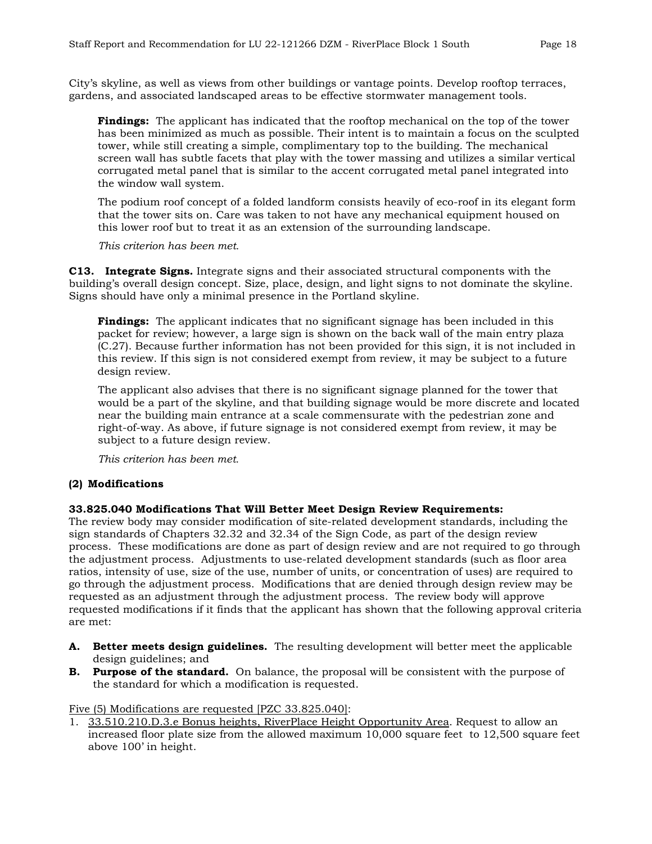City's skyline, as well as views from other buildings or vantage points. Develop rooftop terraces, gardens, and associated landscaped areas to be effective stormwater management tools.

**Findings:** The applicant has indicated that the rooftop mechanical on the top of the tower has been minimized as much as possible. Their intent is to maintain a focus on the sculpted tower, while still creating a simple, complimentary top to the building. The mechanical screen wall has subtle facets that play with the tower massing and utilizes a similar vertical corrugated metal panel that is similar to the accent corrugated metal panel integrated into the window wall system.

The podium roof concept of a folded landform consists heavily of eco-roof in its elegant form that the tower sits on. Care was taken to not have any mechanical equipment housed on this lower roof but to treat it as an extension of the surrounding landscape.

*This criterion has been met.* 

**C13. Integrate Signs.** Integrate signs and their associated structural components with the building's overall design concept. Size, place, design, and light signs to not dominate the skyline. Signs should have only a minimal presence in the Portland skyline.

**Findings:** The applicant indicates that no significant signage has been included in this packet for review; however, a large sign is shown on the back wall of the main entry plaza (C.27). Because further information has not been provided for this sign, it is not included in this review. If this sign is not considered exempt from review, it may be subject to a future design review.

The applicant also advises that there is no significant signage planned for the tower that would be a part of the skyline, and that building signage would be more discrete and located near the building main entrance at a scale commensurate with the pedestrian zone and right-of-way. As above, if future signage is not considered exempt from review, it may be subject to a future design review.

*This criterion has been met.*

## **(2) Modifications**

#### **33.825.040 Modifications That Will Better Meet Design Review Requirements:**

The review body may consider modification of site-related development standards, including the sign standards of Chapters 32.32 and 32.34 of the Sign Code, as part of the design review process. These modifications are done as part of design review and are not required to go through the adjustment process. Adjustments to use-related development standards (such as floor area ratios, intensity of use, size of the use, number of units, or concentration of uses) are required to go through the adjustment process. Modifications that are denied through design review may be requested as an adjustment through the adjustment process. The review body will approve requested modifications if it finds that the applicant has shown that the following approval criteria are met:

- **A. Better meets design guidelines.** The resulting development will better meet the applicable design guidelines; and
- **B. Purpose of the standard.** On balance, the proposal will be consistent with the purpose of the standard for which a modification is requested.

Five (5) Modifications are requested [PZC 33.825.040]:

1. 33.510.210.D.3.e Bonus heights, RiverPlace Height Opportunity Area. Request to allow an increased floor plate size from the allowed maximum 10,000 square feet to 12,500 square feet above 100' in height.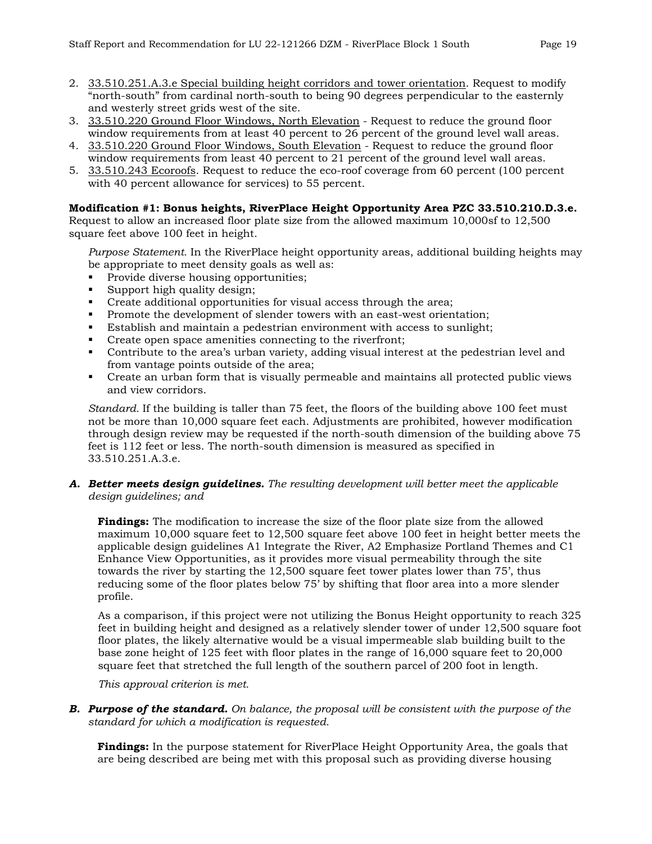- 2. 33.510.251.A.3.e Special building height corridors and tower orientation. Request to modify "north-south" from cardinal north-south to being 90 degrees perpendicular to the easternly and westerly street grids west of the site.
- 3. 33.510.220 Ground Floor Windows, North Elevation Request to reduce the ground floor window requirements from at least 40 percent to 26 percent of the ground level wall areas.
- 4. 33.510.220 Ground Floor Windows, South Elevation Request to reduce the ground floor window requirements from least 40 percent to 21 percent of the ground level wall areas.
- 5. 33.510.243 Ecoroofs. Request to reduce the eco-roof coverage from 60 percent (100 percent with 40 percent allowance for services) to 55 percent.

#### **Modification #1: Bonus heights, RiverPlace Height Opportunity Area PZC 33.510.210.D.3.e.**

Request to allow an increased floor plate size from the allowed maximum 10,000sf to 12,500 square feet above 100 feet in height.

*Purpose Statement.* In the RiverPlace height opportunity areas, additional building heights may be appropriate to meet density goals as well as:

- Provide diverse housing opportunities;
- Support high quality design;
- Create additional opportunities for visual access through the area;
- Promote the development of slender towers with an east-west orientation;
- Establish and maintain a pedestrian environment with access to sunlight;
- Create open space amenities connecting to the riverfront;
- Contribute to the area's urban variety, adding visual interest at the pedestrian level and from vantage points outside of the area;
- Create an urban form that is visually permeable and maintains all protected public views and view corridors.

*Standard.* If the building is taller than 75 feet, the floors of the building above 100 feet must not be more than 10,000 square feet each. Adjustments are prohibited, however modification through design review may be requested if the north-south dimension of the building above 75 feet is 112 feet or less. The north-south dimension is measured as specified in 33.510.251.A.3.e.

#### *A. Better meets design guidelines. The resulting development will better meet the applicable design guidelines; and*

**Findings:** The modification to increase the size of the floor plate size from the allowed maximum 10,000 square feet to 12,500 square feet above 100 feet in height better meets the applicable design guidelines A1 Integrate the River, A2 Emphasize Portland Themes and C1 Enhance View Opportunities, as it provides more visual permeability through the site towards the river by starting the 12,500 square feet tower plates lower than 75', thus reducing some of the floor plates below 75' by shifting that floor area into a more slender profile.

As a comparison, if this project were not utilizing the Bonus Height opportunity to reach 325 feet in building height and designed as a relatively slender tower of under 12,500 square foot floor plates, the likely alternative would be a visual impermeable slab building built to the base zone height of 125 feet with floor plates in the range of 16,000 square feet to 20,000 square feet that stretched the full length of the southern parcel of 200 foot in length.

*This approval criterion is met.* 

*B. Purpose of the standard. On balance, the proposal will be consistent with the purpose of the standard for which a modification is requested.*

**Findings:** In the purpose statement for RiverPlace Height Opportunity Area, the goals that are being described are being met with this proposal such as providing diverse housing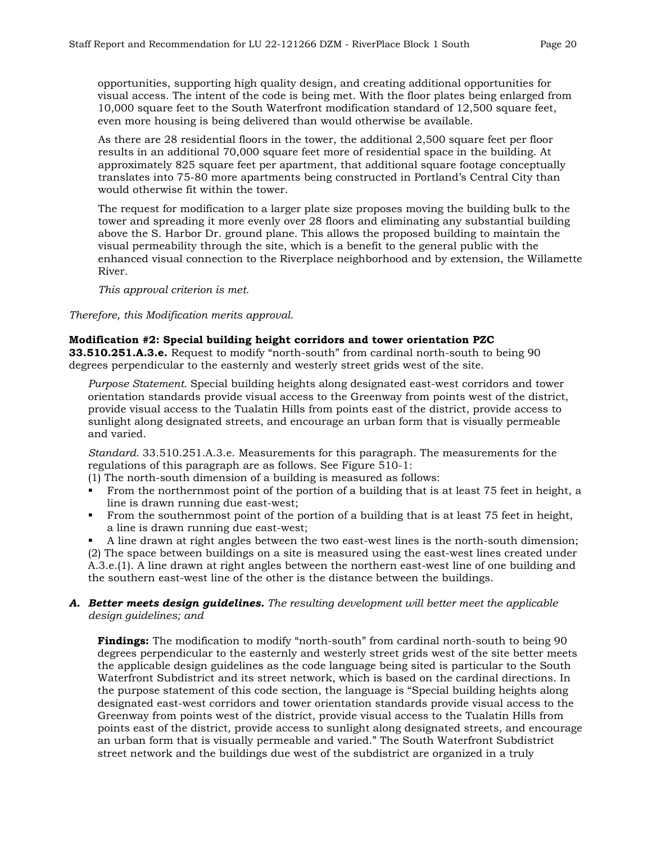opportunities, supporting high quality design, and creating additional opportunities for visual access. The intent of the code is being met. With the floor plates being enlarged from 10,000 square feet to the South Waterfront modification standard of 12,500 square feet, even more housing is being delivered than would otherwise be available.

As there are 28 residential floors in the tower, the additional 2,500 square feet per floor results in an additional 70,000 square feet more of residential space in the building. At approximately 825 square feet per apartment, that additional square footage conceptually translates into 75-80 more apartments being constructed in Portland's Central City than would otherwise fit within the tower.

The request for modification to a larger plate size proposes moving the building bulk to the tower and spreading it more evenly over 28 floors and eliminating any substantial building above the S. Harbor Dr. ground plane. This allows the proposed building to maintain the visual permeability through the site, which is a benefit to the general public with the enhanced visual connection to the Riverplace neighborhood and by extension, the Willamette River.

*This approval criterion is met.*

*Therefore, this Modification merits approval.* 

#### **Modification #2: Special building height corridors and tower orientation PZC**

**33.510.251.A.3.e.** Request to modify "north-south" from cardinal north-south to being 90 degrees perpendicular to the easternly and westerly street grids west of the site.

*Purpose Statement.* Special building heights along designated east-west corridors and tower orientation standards provide visual access to the Greenway from points west of the district, provide visual access to the Tualatin Hills from points east of the district, provide access to sunlight along designated streets, and encourage an urban form that is visually permeable and varied.

*Standard.* 33.510.251.A.3.e. Measurements for this paragraph. The measurements for the regulations of this paragraph are as follows. See Figure 510-1:

- (1) The north-south dimension of a building is measured as follows:
- From the northernmost point of the portion of a building that is at least 75 feet in height, a line is drawn running due east-west;
- From the southernmost point of the portion of a building that is at least 75 feet in height, a line is drawn running due east-west;

 A line drawn at right angles between the two east-west lines is the north-south dimension; (2) The space between buildings on a site is measured using the east-west lines created under A.3.e.(1). A line drawn at right angles between the northern east-west line of one building and the southern east-west line of the other is the distance between the buildings.

#### *A. Better meets design guidelines. The resulting development will better meet the applicable design guidelines; and*

**Findings:** The modification to modify "north-south" from cardinal north-south to being 90 degrees perpendicular to the easternly and westerly street grids west of the site better meets the applicable design guidelines as the code language being sited is particular to the South Waterfront Subdistrict and its street network, which is based on the cardinal directions. In the purpose statement of this code section, the language is "Special building heights along designated east-west corridors and tower orientation standards provide visual access to the Greenway from points west of the district, provide visual access to the Tualatin Hills from points east of the district, provide access to sunlight along designated streets, and encourage an urban form that is visually permeable and varied." The South Waterfront Subdistrict street network and the buildings due west of the subdistrict are organized in a truly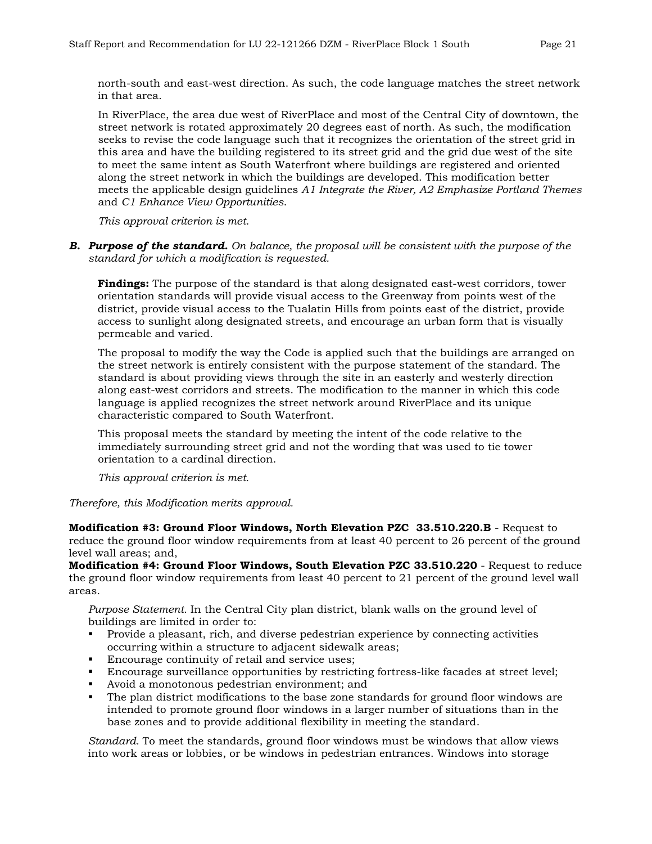north-south and east-west direction. As such, the code language matches the street network in that area.

In RiverPlace, the area due west of RiverPlace and most of the Central City of downtown, the street network is rotated approximately 20 degrees east of north. As such, the modification seeks to revise the code language such that it recognizes the orientation of the street grid in this area and have the building registered to its street grid and the grid due west of the site to meet the same intent as South Waterfront where buildings are registered and oriented along the street network in which the buildings are developed. This modification better meets the applicable design guidelines *A1 Integrate the River, A2 Emphasize Portland Themes* and *C1 Enhance View Opportunities*.

*This approval criterion is met.*

*B. Purpose of the standard. On balance, the proposal will be consistent with the purpose of the standard for which a modification is requested.*

**Findings:** The purpose of the standard is that along designated east-west corridors, tower orientation standards will provide visual access to the Greenway from points west of the district, provide visual access to the Tualatin Hills from points east of the district, provide access to sunlight along designated streets, and encourage an urban form that is visually permeable and varied.

The proposal to modify the way the Code is applied such that the buildings are arranged on the street network is entirely consistent with the purpose statement of the standard. The standard is about providing views through the site in an easterly and westerly direction along east-west corridors and streets. The modification to the manner in which this code language is applied recognizes the street network around RiverPlace and its unique characteristic compared to South Waterfront.

This proposal meets the standard by meeting the intent of the code relative to the immediately surrounding street grid and not the wording that was used to tie tower orientation to a cardinal direction.

*This approval criterion is met.* 

*Therefore, this Modification merits approval.* 

**Modification #3: Ground Floor Windows, North Elevation PZC 33.510.220.B** - Request to reduce the ground floor window requirements from at least 40 percent to 26 percent of the ground level wall areas; and,

**Modification #4: Ground Floor Windows, South Elevation PZC 33.510.220** - Request to reduce the ground floor window requirements from least 40 percent to 21 percent of the ground level wall areas.

*Purpose Statement.* In the Central City plan district, blank walls on the ground level of buildings are limited in order to:

- Provide a pleasant, rich, and diverse pedestrian experience by connecting activities occurring within a structure to adjacent sidewalk areas;
- Encourage continuity of retail and service uses;
- Encourage surveillance opportunities by restricting fortress-like facades at street level;
- Avoid a monotonous pedestrian environment; and
- The plan district modifications to the base zone standards for ground floor windows are intended to promote ground floor windows in a larger number of situations than in the base zones and to provide additional flexibility in meeting the standard.

*Standard.* To meet the standards, ground floor windows must be windows that allow views into work areas or lobbies, or be windows in pedestrian entrances. Windows into storage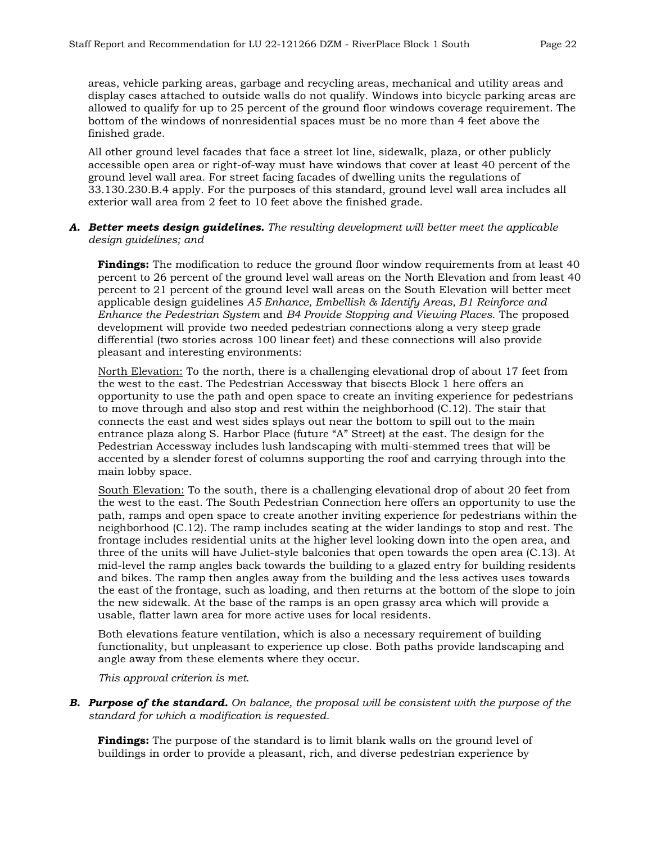areas, vehicle parking areas, garbage and recycling areas, mechanical and utility areas and display cases attached to outside walls do not qualify. Windows into bicycle parking areas are allowed to qualify for up to 25 percent of the ground floor windows coverage requirement. The bottom of the windows of nonresidential spaces must be no more than 4 feet above the finished grade.

All other ground level facades that face a street lot line, sidewalk, plaza, or other publicly accessible open area or right-of-way must have windows that cover at least 40 percent of the ground level wall area. For street facing facades of dwelling units the regulations of 33.130.230.B.4 apply. For the purposes of this standard, ground level wall area includes all exterior wall area from 2 feet to 10 feet above the finished grade.

#### *A. Better meets design guidelines. The resulting development will better meet the applicable design guidelines; and*

**Findings:** The modification to reduce the ground floor window requirements from at least 40 percent to 26 percent of the ground level wall areas on the North Elevation and from least 40 percent to 21 percent of the ground level wall areas on the South Elevation will better meet applicable design guidelines *A5 Enhance, Embellish & Identify Areas, B1 Reinforce and Enhance the Pedestrian System* and *B4 Provide Stopping and Viewing Places*. The proposed development will provide two needed pedestrian connections along a very steep grade differential (two stories across 100 linear feet) and these connections will also provide pleasant and interesting environments:

North Elevation: To the north, there is a challenging elevational drop of about 17 feet from the west to the east. The Pedestrian Accessway that bisects Block 1 here offers an opportunity to use the path and open space to create an inviting experience for pedestrians to move through and also stop and rest within the neighborhood (C.12). The stair that connects the east and west sides splays out near the bottom to spill out to the main entrance plaza along S. Harbor Place (future "A" Street) at the east. The design for the Pedestrian Accessway includes lush landscaping with multi-stemmed trees that will be accented by a slender forest of columns supporting the roof and carrying through into the main lobby space.

South Elevation: To the south, there is a challenging elevational drop of about 20 feet from the west to the east. The South Pedestrian Connection here offers an opportunity to use the path, ramps and open space to create another inviting experience for pedestrians within the neighborhood (C.12). The ramp includes seating at the wider landings to stop and rest. The frontage includes residential units at the higher level looking down into the open area, and three of the units will have Juliet-style balconies that open towards the open area (C.13). At mid-level the ramp angles back towards the building to a glazed entry for building residents and bikes. The ramp then angles away from the building and the less actives uses towards the east of the frontage, such as loading, and then returns at the bottom of the slope to join the new sidewalk. At the base of the ramps is an open grassy area which will provide a usable, flatter lawn area for more active uses for local residents.

Both elevations feature ventilation, which is also a necessary requirement of building functionality, but unpleasant to experience up close. Both paths provide landscaping and angle away from these elements where they occur.

*This approval criterion is met.* 

*B. Purpose of the standard. On balance, the proposal will be consistent with the purpose of the standard for which a modification is requested.*

**Findings:** The purpose of the standard is to limit blank walls on the ground level of buildings in order to provide a pleasant, rich, and diverse pedestrian experience by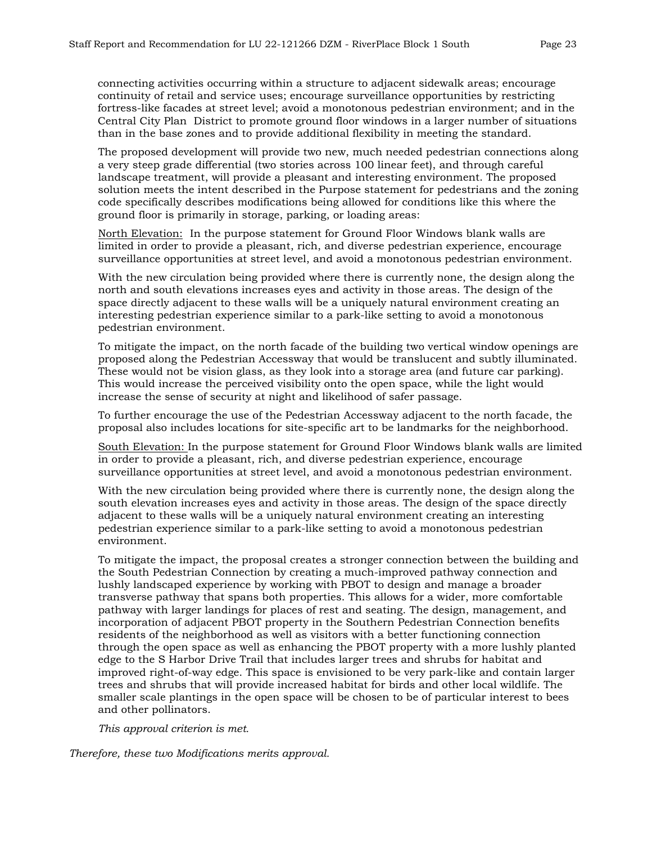connecting activities occurring within a structure to adjacent sidewalk areas; encourage continuity of retail and service uses; encourage surveillance opportunities by restricting fortress-like facades at street level; avoid a monotonous pedestrian environment; and in the Central City Plan District to promote ground floor windows in a larger number of situations than in the base zones and to provide additional flexibility in meeting the standard.

The proposed development will provide two new, much needed pedestrian connections along a very steep grade differential (two stories across 100 linear feet), and through careful landscape treatment, will provide a pleasant and interesting environment. The proposed solution meets the intent described in the Purpose statement for pedestrians and the zoning code specifically describes modifications being allowed for conditions like this where the ground floor is primarily in storage, parking, or loading areas:

North Elevation:In the purpose statement for Ground Floor Windows blank walls are limited in order to provide a pleasant, rich, and diverse pedestrian experience, encourage surveillance opportunities at street level, and avoid a monotonous pedestrian environment.

With the new circulation being provided where there is currently none, the design along the north and south elevations increases eyes and activity in those areas. The design of the space directly adjacent to these walls will be a uniquely natural environment creating an interesting pedestrian experience similar to a park-like setting to avoid a monotonous pedestrian environment.

To mitigate the impact, on the north facade of the building two vertical window openings are proposed along the Pedestrian Accessway that would be translucent and subtly illuminated. These would not be vision glass, as they look into a storage area (and future car parking). This would increase the perceived visibility onto the open space, while the light would increase the sense of security at night and likelihood of safer passage.

To further encourage the use of the Pedestrian Accessway adjacent to the north facade, the proposal also includes locations for site-specific art to be landmarks for the neighborhood.

South Elevation: In the purpose statement for Ground Floor Windows blank walls are limited in order to provide a pleasant, rich, and diverse pedestrian experience, encourage surveillance opportunities at street level, and avoid a monotonous pedestrian environment.

With the new circulation being provided where there is currently none, the design along the south elevation increases eyes and activity in those areas. The design of the space directly adjacent to these walls will be a uniquely natural environment creating an interesting pedestrian experience similar to a park-like setting to avoid a monotonous pedestrian environment.

To mitigate the impact, the proposal creates a stronger connection between the building and the South Pedestrian Connection by creating a much-improved pathway connection and lushly landscaped experience by working with PBOT to design and manage a broader transverse pathway that spans both properties. This allows for a wider, more comfortable pathway with larger landings for places of rest and seating. The design, management, and incorporation of adjacent PBOT property in the Southern Pedestrian Connection benefits residents of the neighborhood as well as visitors with a better functioning connection through the open space as well as enhancing the PBOT property with a more lushly planted edge to the S Harbor Drive Trail that includes larger trees and shrubs for habitat and improved right-of-way edge. This space is envisioned to be very park-like and contain larger trees and shrubs that will provide increased habitat for birds and other local wildlife. The smaller scale plantings in the open space will be chosen to be of particular interest to bees and other pollinators.

*This approval criterion is met.* 

*Therefore, these two Modifications merits approval.*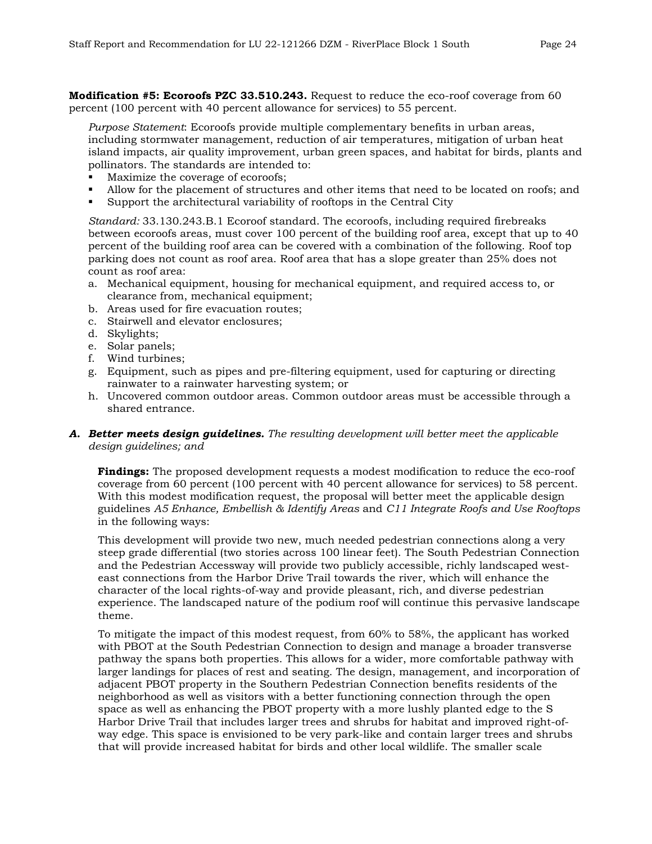**Modification #5: Ecoroofs PZC 33.510.243.** Request to reduce the eco-roof coverage from 60 percent (100 percent with 40 percent allowance for services) to 55 percent.

*Purpose Statement*: Ecoroofs provide multiple complementary benefits in urban areas, including stormwater management, reduction of air temperatures, mitigation of urban heat island impacts, air quality improvement, urban green spaces, and habitat for birds, plants and pollinators. The standards are intended to:

- Maximize the coverage of ecoroofs;
- Allow for the placement of structures and other items that need to be located on roofs; and
- Support the architectural variability of rooftops in the Central City

*Standard:* 33.130.243.B.1 Ecoroof standard. The ecoroofs, including required firebreaks between ecoroofs areas, must cover 100 percent of the building roof area, except that up to 40 percent of the building roof area can be covered with a combination of the following. Roof top parking does not count as roof area. Roof area that has a slope greater than 25% does not count as roof area:

- a. Mechanical equipment, housing for mechanical equipment, and required access to, or clearance from, mechanical equipment;
- b. Areas used for fire evacuation routes;
- c. Stairwell and elevator enclosures;
- d. Skylights;
- e. Solar panels;
- f. Wind turbines;
- g. Equipment, such as pipes and pre-filtering equipment, used for capturing or directing rainwater to a rainwater harvesting system; or
- h. Uncovered common outdoor areas. Common outdoor areas must be accessible through a shared entrance.

## *A. Better meets design guidelines. The resulting development will better meet the applicable design guidelines; and*

**Findings:** The proposed development requests a modest modification to reduce the eco-roof coverage from 60 percent (100 percent with 40 percent allowance for services) to 58 percent. With this modest modification request, the proposal will better meet the applicable design guidelines *A5 Enhance, Embellish & Identify Areas* and *C11 Integrate Roofs and Use Rooftops* in the following ways:

This development will provide two new, much needed pedestrian connections along a very steep grade differential (two stories across 100 linear feet). The South Pedestrian Connection and the Pedestrian Accessway will provide two publicly accessible, richly landscaped westeast connections from the Harbor Drive Trail towards the river, which will enhance the character of the local rights-of-way and provide pleasant, rich, and diverse pedestrian experience. The landscaped nature of the podium roof will continue this pervasive landscape theme.

To mitigate the impact of this modest request, from 60% to 58%, the applicant has worked with PBOT at the South Pedestrian Connection to design and manage a broader transverse pathway the spans both properties. This allows for a wider, more comfortable pathway with larger landings for places of rest and seating. The design, management, and incorporation of adjacent PBOT property in the Southern Pedestrian Connection benefits residents of the neighborhood as well as visitors with a better functioning connection through the open space as well as enhancing the PBOT property with a more lushly planted edge to the S Harbor Drive Trail that includes larger trees and shrubs for habitat and improved right-ofway edge. This space is envisioned to be very park-like and contain larger trees and shrubs that will provide increased habitat for birds and other local wildlife. The smaller scale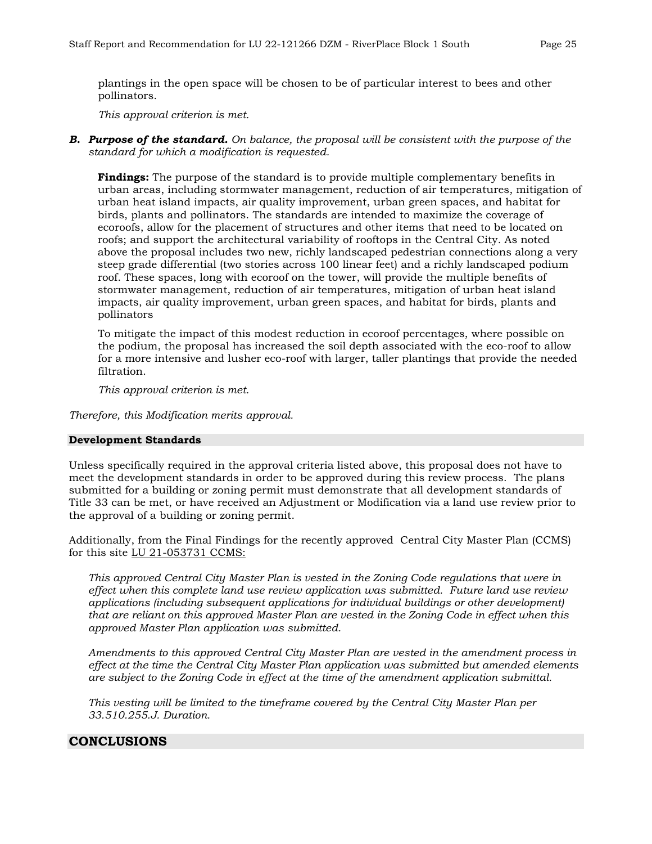plantings in the open space will be chosen to be of particular interest to bees and other pollinators.

*This approval criterion is met.* 

*B. Purpose of the standard. On balance, the proposal will be consistent with the purpose of the standard for which a modification is requested.*

**Findings:** The purpose of the standard is to provide multiple complementary benefits in urban areas, including stormwater management, reduction of air temperatures, mitigation of urban heat island impacts, air quality improvement, urban green spaces, and habitat for birds, plants and pollinators. The standards are intended to maximize the coverage of ecoroofs, allow for the placement of structures and other items that need to be located on roofs; and support the architectural variability of rooftops in the Central City. As noted above the proposal includes two new, richly landscaped pedestrian connections along a very steep grade differential (two stories across 100 linear feet) and a richly landscaped podium roof. These spaces, long with ecoroof on the tower, will provide the multiple benefits of stormwater management, reduction of air temperatures, mitigation of urban heat island impacts, air quality improvement, urban green spaces, and habitat for birds, plants and pollinators

To mitigate the impact of this modest reduction in ecoroof percentages, where possible on the podium, the proposal has increased the soil depth associated with the eco-roof to allow for a more intensive and lusher eco-roof with larger, taller plantings that provide the needed filtration.

*This approval criterion is met.* 

*Therefore, this Modification merits approval.* 

#### **Development Standards**

Unless specifically required in the approval criteria listed above, this proposal does not have to meet the development standards in order to be approved during this review process. The plans submitted for a building or zoning permit must demonstrate that all development standards of Title 33 can be met, or have received an Adjustment or Modification via a land use review prior to the approval of a building or zoning permit.

Additionally, from the Final Findings for the recently approved Central City Master Plan (CCMS) for this site LU 21-053731 CCMS:

*This approved Central City Master Plan is vested in the Zoning Code regulations that were in effect when this complete land use review application was submitted. Future land use review applications (including subsequent applications for individual buildings or other development) that are reliant on this approved Master Plan are vested in the Zoning Code in effect when this approved Master Plan application was submitted.* 

*Amendments to this approved Central City Master Plan are vested in the amendment process in effect at the time the Central City Master Plan application was submitted but amended elements are subject to the Zoning Code in effect at the time of the amendment application submittal.* 

*This vesting will be limited to the timeframe covered by the Central City Master Plan per 33.510.255.J. Duration.*

## **CONCLUSIONS**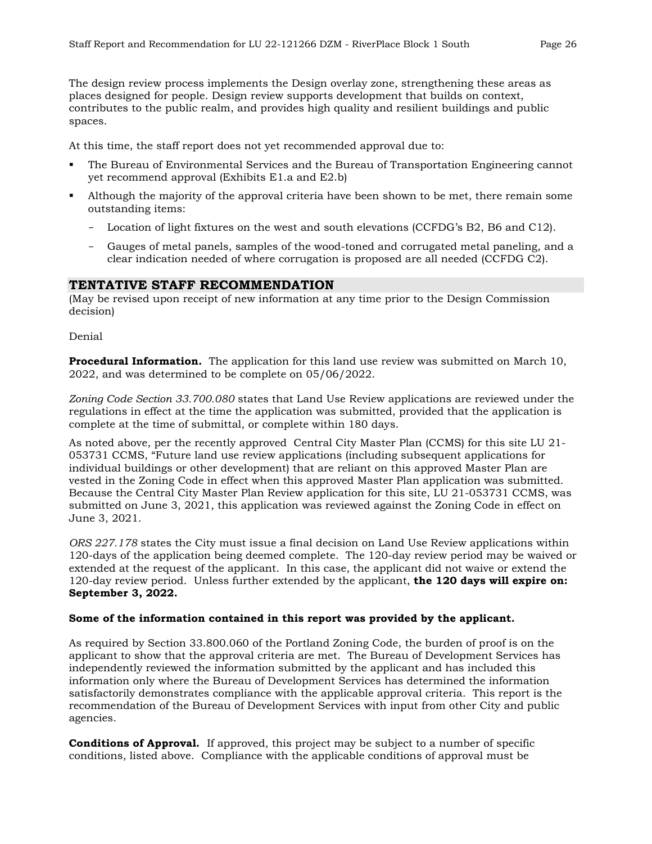The design review process implements the Design overlay zone, strengthening these areas as places designed for people. Design review supports development that builds on context, contributes to the public realm, and provides high quality and resilient buildings and public spaces.

At this time, the staff report does not yet recommended approval due to:

- The Bureau of Environmental Services and the Bureau of Transportation Engineering cannot yet recommend approval (Exhibits E1.a and E2.b)
- Although the majority of the approval criteria have been shown to be met, there remain some outstanding items:
	- Location of light fixtures on the west and south elevations (CCFDG's B2, B6 and C12).
	- Gauges of metal panels, samples of the wood-toned and corrugated metal paneling, and a clear indication needed of where corrugation is proposed are all needed (CCFDG C2).

## **TENTATIVE STAFF RECOMMENDATION**

(May be revised upon receipt of new information at any time prior to the Design Commission decision)

Denial

**Procedural Information.** The application for this land use review was submitted on March 10, 2022, and was determined to be complete on 05/06/2022.

*Zoning Code Section 33.700.080* states that Land Use Review applications are reviewed under the regulations in effect at the time the application was submitted, provided that the application is complete at the time of submittal, or complete within 180 days.

As noted above, per the recently approved Central City Master Plan (CCMS) for this site LU 21- 053731 CCMS, "Future land use review applications (including subsequent applications for individual buildings or other development) that are reliant on this approved Master Plan are vested in the Zoning Code in effect when this approved Master Plan application was submitted. Because the Central City Master Plan Review application for this site, LU 21-053731 CCMS, was submitted on June 3, 2021, this application was reviewed against the Zoning Code in effect on June 3, 2021.

*ORS 227.178* states the City must issue a final decision on Land Use Review applications within 120-days of the application being deemed complete. The 120-day review period may be waived or extended at the request of the applicant. In this case, the applicant did not waive or extend the 120-day review period. Unless further extended by the applicant, **the 120 days will expire on: September 3, 2022.**

#### **Some of the information contained in this report was provided by the applicant.**

As required by Section 33.800.060 of the Portland Zoning Code, the burden of proof is on the applicant to show that the approval criteria are met. The Bureau of Development Services has independently reviewed the information submitted by the applicant and has included this information only where the Bureau of Development Services has determined the information satisfactorily demonstrates compliance with the applicable approval criteria. This report is the recommendation of the Bureau of Development Services with input from other City and public agencies.

**Conditions of Approval.** If approved, this project may be subject to a number of specific conditions, listed above. Compliance with the applicable conditions of approval must be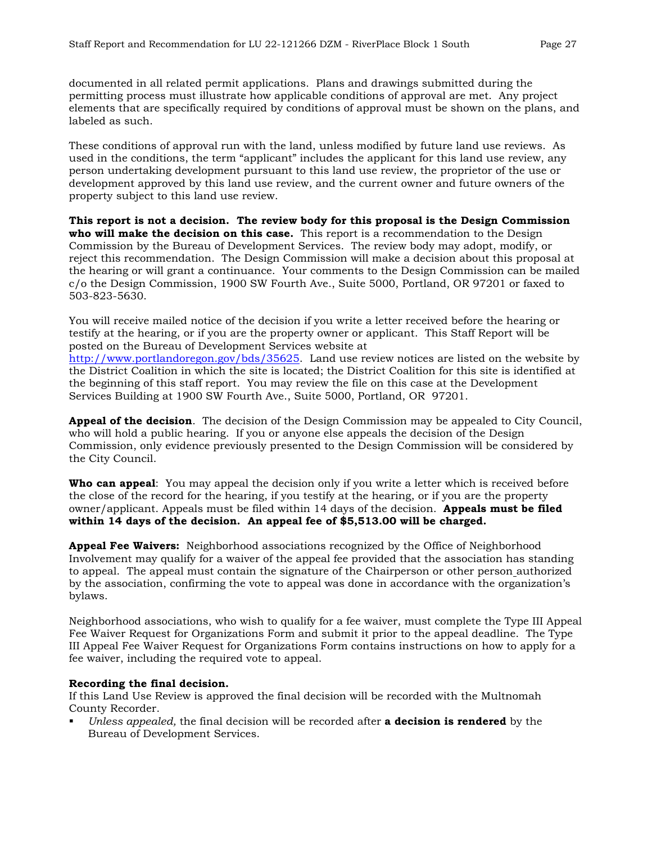documented in all related permit applications. Plans and drawings submitted during the permitting process must illustrate how applicable conditions of approval are met. Any project elements that are specifically required by conditions of approval must be shown on the plans, and labeled as such.

These conditions of approval run with the land, unless modified by future land use reviews. As used in the conditions, the term "applicant" includes the applicant for this land use review, any person undertaking development pursuant to this land use review, the proprietor of the use or development approved by this land use review, and the current owner and future owners of the property subject to this land use review.

**This report is not a decision. The review body for this proposal is the Design Commission who will make the decision on this case.** This report is a recommendation to the Design Commission by the Bureau of Development Services. The review body may adopt, modify, or reject this recommendation. The Design Commission will make a decision about this proposal at the hearing or will grant a continuance. Your comments to the Design Commission can be mailed c/o the Design Commission, 1900 SW Fourth Ave., Suite 5000, Portland, OR 97201 or faxed to 503-823-5630.

You will receive mailed notice of the decision if you write a letter received before the hearing or testify at the hearing, or if you are the property owner or applicant. This Staff Report will be posted on the Bureau of Development Services website at

[http://www.portlandoregon.gov/bds/35625.](http://www.portlandoregon.gov/bds/35625) Land use review notices are listed on the website by the District Coalition in which the site is located; the District Coalition for this site is identified at the beginning of this staff report. You may review the file on this case at the Development Services Building at 1900 SW Fourth Ave., Suite 5000, Portland, OR 97201.

**Appeal of the decision**. The decision of the Design Commission may be appealed to City Council, who will hold a public hearing. If you or anyone else appeals the decision of the Design Commission, only evidence previously presented to the Design Commission will be considered by the City Council.

**Who can appeal**: You may appeal the decision only if you write a letter which is received before the close of the record for the hearing, if you testify at the hearing, or if you are the property owner/applicant. Appeals must be filed within 14 days of the decision. **Appeals must be filed within 14 days of the decision. An appeal fee of \$5,513.00 will be charged.**

**Appeal Fee Waivers:** Neighborhood associations recognized by the Office of Neighborhood Involvement may qualify for a waiver of the appeal fee provided that the association has standing to appeal. The appeal must contain the signature of the Chairperson or other person authorized by the association, confirming the vote to appeal was done in accordance with the organization's bylaws.

Neighborhood associations, who wish to qualify for a fee waiver, must complete the Type III Appeal Fee Waiver Request for Organizations Form and submit it prior to the appeal deadline. The Type III Appeal Fee Waiver Request for Organizations Form contains instructions on how to apply for a fee waiver, including the required vote to appeal.

#### **Recording the final decision.**

If this Land Use Review is approved the final decision will be recorded with the Multnomah County Recorder.

 *Unless appealed,* the final decision will be recorded after **a decision is rendered** by the Bureau of Development Services.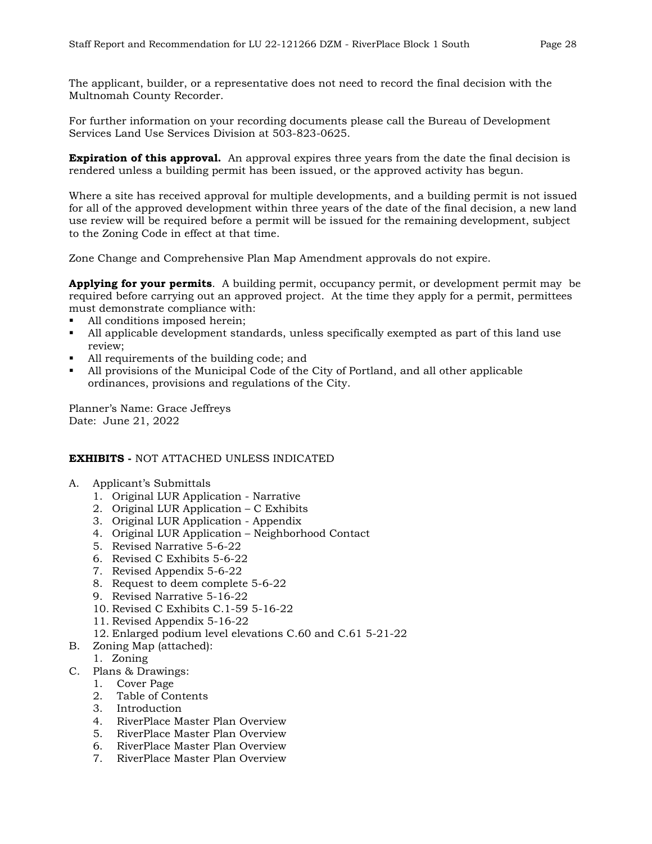The applicant, builder, or a representative does not need to record the final decision with the Multnomah County Recorder.

For further information on your recording documents please call the Bureau of Development Services Land Use Services Division at 503-823-0625.

**Expiration of this approval.** An approval expires three years from the date the final decision is rendered unless a building permit has been issued, or the approved activity has begun.

Where a site has received approval for multiple developments, and a building permit is not issued for all of the approved development within three years of the date of the final decision, a new land use review will be required before a permit will be issued for the remaining development, subject to the Zoning Code in effect at that time.

Zone Change and Comprehensive Plan Map Amendment approvals do not expire.

**Applying for your permits**. A building permit, occupancy permit, or development permit may be required before carrying out an approved project. At the time they apply for a permit, permittees must demonstrate compliance with:

- All conditions imposed herein;
- All applicable development standards, unless specifically exempted as part of this land use review;
- I All requirements of the building code; and
- All provisions of the Municipal Code of the City of Portland, and all other applicable ordinances, provisions and regulations of the City.

Planner's Name: Grace Jeffreys Date: June 21, 2022

#### **EXHIBITS -** NOT ATTACHED UNLESS INDICATED

- A. Applicant's Submittals
	- 1. Original LUR Application Narrative
	- 2. Original LUR Application C Exhibits
	- 3. Original LUR Application Appendix
	- 4. Original LUR Application Neighborhood Contact
	- 5. Revised Narrative 5-6-22
	- 6. Revised C Exhibits 5-6-22
	- 7. Revised Appendix 5-6-22
	- 8. Request to deem complete 5-6-22
	- 9. Revised Narrative 5-16-22
	- 10. Revised C Exhibits C.1-59 5-16-22
	- 11. Revised Appendix 5-16-22
	- 12. Enlarged podium level elevations C.60 and C.61 5-21-22
- B. Zoning Map (attached):
	- 1. Zoning
- C. Plans & Drawings:
	- 1. Cover Page
	- 2. Table of Contents
	- 3. Introduction
	- 4. RiverPlace Master Plan Overview
	- 5. RiverPlace Master Plan Overview
	- 6. RiverPlace Master Plan Overview
	- 7. RiverPlace Master Plan Overview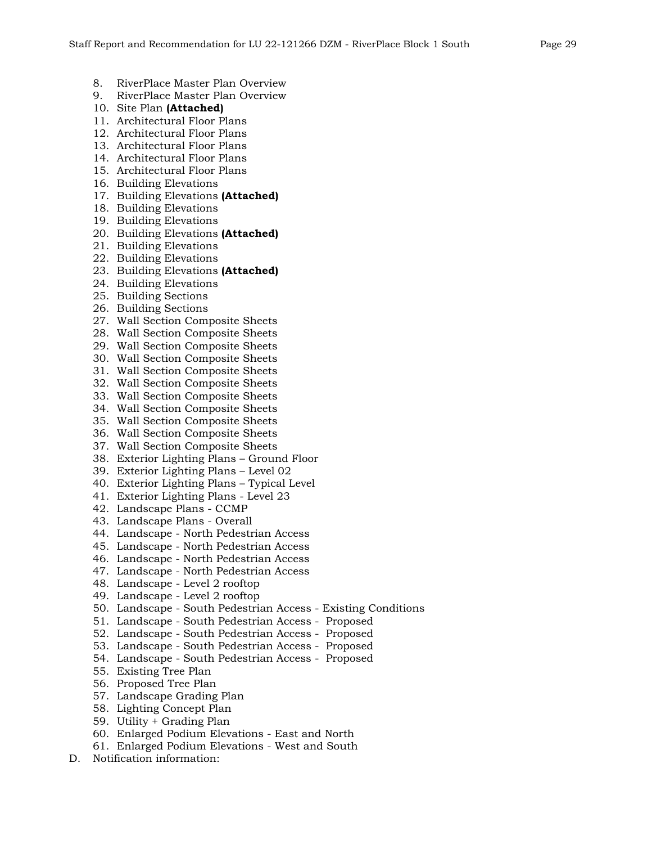- 8. RiverPlace Master Plan Overview<br>9. RiverPlace Master Plan Overview
- 9. RiverPlace Master Plan Overview
- 10. Site Plan **(Attached)**
- 11. Architectural Floor Plans
- 12. Architectural Floor Plans
- 13. Architectural Floor Plans
- 14. Architectural Floor Plans
- 15. Architectural Floor Plans
- 16. Building Elevations
- 17. Building Elevations **(Attached)**
- 18. Building Elevations
- 19. Building Elevations
- 20. Building Elevations **(Attached)**
- 21. Building Elevations
- 22. Building Elevations
- 23. Building Elevations **(Attached)**
- 24. Building Elevations
- 25. Building Sections
- 26. Building Sections
- 27. Wall Section Composite Sheets
- 28. Wall Section Composite Sheets
- 29. Wall Section Composite Sheets
- 30. Wall Section Composite Sheets
- 31. Wall Section Composite Sheets
- 32. Wall Section Composite Sheets
- 33. Wall Section Composite Sheets
- 34. Wall Section Composite Sheets
- 35. Wall Section Composite Sheets
- 36. Wall Section Composite Sheets
- 37. Wall Section Composite Sheets
- 38. Exterior Lighting Plans Ground Floor
- 39. Exterior Lighting Plans Level 02
- 40. Exterior Lighting Plans Typical Level
- 41. Exterior Lighting Plans Level 23
- 42. Landscape Plans CCMP
- 43. Landscape Plans Overall
- 44. Landscape North Pedestrian Access
- 45. Landscape North Pedestrian Access
- 46. Landscape North Pedestrian Access
- 47. Landscape North Pedestrian Access
- 48. Landscape Level 2 rooftop
- 49. Landscape Level 2 rooftop
- 50. Landscape South Pedestrian Access Existing Conditions
- 51. Landscape South Pedestrian Access Proposed
- 52. Landscape South Pedestrian Access Proposed
- 53. Landscape South Pedestrian Access Proposed
- 54. Landscape South Pedestrian Access Proposed
- 55. Existing Tree Plan
- 56. Proposed Tree Plan
- 57. Landscape Grading Plan
- 58. Lighting Concept Plan
- 59. Utility + Grading Plan
- 60. Enlarged Podium Elevations East and North
- 61. Enlarged Podium Elevations West and South
- D. Notification information: